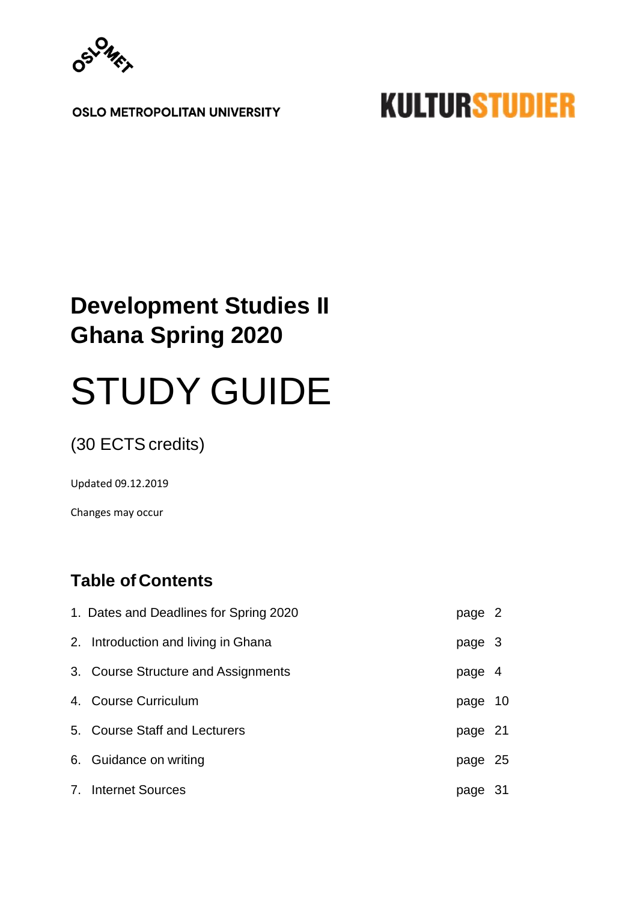

**OSLO METROPOLITAN UNIVERSITY** 

# **KULTURSTUDIER**

# **Development Studies II Ghana Spring 2020**

# STUDY GUIDE

(30 ECTS credits)

Updated 09.12.2019

Changes may occur

# **Table of Contents**

| 1. Dates and Deadlines for Spring 2020 | page 2  |     |
|----------------------------------------|---------|-----|
| 2. Introduction and living in Ghana    | page 3  |     |
| 3. Course Structure and Assignments    | page 4  |     |
| 4. Course Curriculum                   | page 10 |     |
| 5. Course Staff and Lecturers          | page 21 |     |
| 6. Guidance on writing                 | page 25 |     |
| 7. Internet Sources                    | page    | -31 |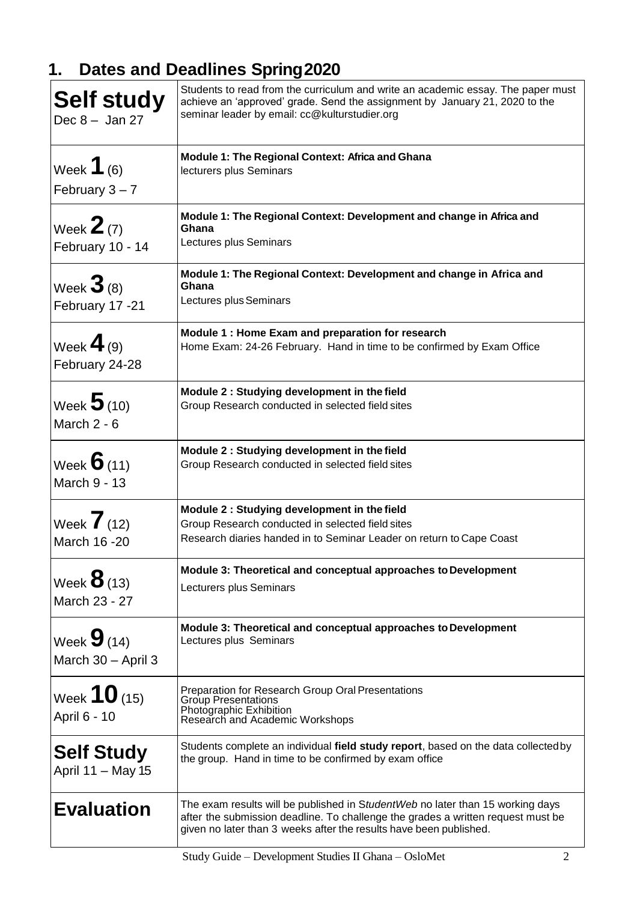# **1. Dates and Deadlines Spring2020**

| <b>Self study</b><br>Dec $8 -$ Jan 27     | Students to read from the curriculum and write an academic essay. The paper must<br>achieve an 'approved' grade. Send the assignment by January 21, 2020 to the<br>seminar leader by email: cc@kulturstudier.org                         |
|-------------------------------------------|------------------------------------------------------------------------------------------------------------------------------------------------------------------------------------------------------------------------------------------|
| Week $1$ (6)                              | <b>Module 1: The Regional Context: Africa and Ghana</b>                                                                                                                                                                                  |
| February $3 - 7$                          | lecturers plus Seminars                                                                                                                                                                                                                  |
| Week $2$ (7)<br>February 10 - 14          | Module 1: The Regional Context: Development and change in Africa and<br>Ghana<br>Lectures plus Seminars                                                                                                                                  |
| Week $\mathbf{3}$ (8)<br>February 17 -21  | Module 1: The Regional Context: Development and change in Africa and<br>Ghana<br>Lectures plus Seminars                                                                                                                                  |
| Week $\blacktriangleleft$ (9)             | Module 1: Home Exam and preparation for research                                                                                                                                                                                         |
| February 24-28                            | Home Exam: 24-26 February. Hand in time to be confirmed by Exam Office                                                                                                                                                                   |
| Week $5(10)$                              | Module 2 : Studying development in the field                                                                                                                                                                                             |
| March 2 - 6                               | Group Research conducted in selected field sites                                                                                                                                                                                         |
| Week $\boldsymbol{6}$ (11)                | Module 2 : Studying development in the field                                                                                                                                                                                             |
| March 9 - 13                              | Group Research conducted in selected field sites                                                                                                                                                                                         |
| Week $\overline{7}$ (12)<br>March 16 - 20 | Module 2 : Studying development in the field<br>Group Research conducted in selected field sites<br>Research diaries handed in to Seminar Leader on return to Cape Coast                                                                 |
| Week $\mathbf{8}$ (13)                    | Module 3: Theoretical and conceptual approaches to Development                                                                                                                                                                           |
| March 23 - 27                             | Lecturers plus Seminars                                                                                                                                                                                                                  |
| Week $9(14)$                              | Module 3: Theoretical and conceptual approaches to Development                                                                                                                                                                           |
| March 30 - April 3                        | Lectures plus Seminars                                                                                                                                                                                                                   |
| Week $10$ (15)<br>April 6 - 10            | Preparation for Research Group Oral Presentations<br><b>Group Presentations</b><br>Photographic Exhibition<br>Research and Academic Workshops                                                                                            |
| <b>Self Study</b>                         | Students complete an individual field study report, based on the data collected by                                                                                                                                                       |
| April 11 - May 15                         | the group. Hand in time to be confirmed by exam office                                                                                                                                                                                   |
| <b>Evaluation</b>                         | The exam results will be published in StudentWeb no later than 15 working days<br>after the submission deadline. To challenge the grades a written request must be<br>given no later than 3 weeks after the results have been published. |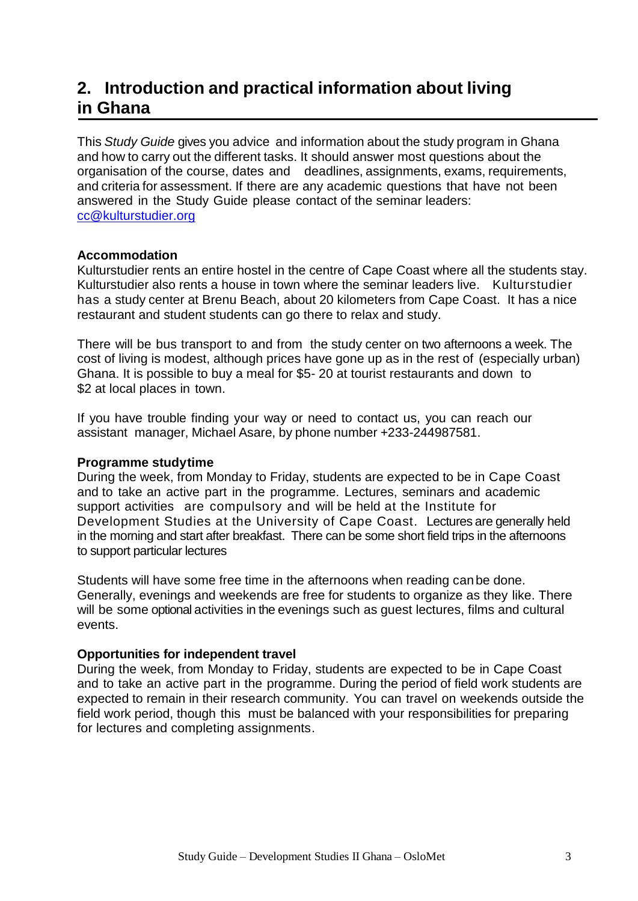# **2. Introduction and practical information about living in Ghana**

This *Study Guide* gives you advice and information about the study program in Ghana and how to carry out the different tasks. It should answer most questions about the organisation of the course, dates and deadlines, assignments, exams, requirements, and criteria for assessment. If there are any academic questions that have not been answered in the Study Guide please contact of the seminar leaders: [cc@kulturstudier.org](mailto:cc@kulturstudier.org)

#### **Accommodation**

Kulturstudier rents an entire hostel in the centre of Cape Coast where all the students stay. Kulturstudier also rents a house in town where the seminar leaders live. Kulturstudier has a study center at Brenu Beach, about 20 kilometers from Cape Coast. It has a nice restaurant and student students can go there to relax and study.

There will be bus transport to and from the study center on two afternoons a week. The cost of living is modest, although prices have gone up as in the rest of (especially urban) Ghana. It is possible to buy a meal for \$5- 20 at tourist restaurants and down to \$2 at local places in town.

If you have trouble finding your way or need to contact us, you can reach our assistant manager, Michael Asare, by phone number +233-244987581.

#### **Programme studytime**

During the week, from Monday to Friday, students are expected to be in Cape Coast and to take an active part in the programme. Lectures, seminars and academic support activities are compulsory and will be held at the Institute for Development Studies at the University of Cape Coast. Lectures are generally held in the morning and start after breakfast. There can be some short field trips in the afternoons to support particular lectures

Students will have some free time in the afternoons when reading canbe done. Generally, evenings and weekends are free for students to organize as they like. There will be some optional activities in the evenings such as guest lectures, films and cultural events.

#### **Opportunities for independent travel**

During the week, from Monday to Friday, students are expected to be in Cape Coast and to take an active part in the programme. During the period of field work students are expected to remain in their research community. You can travel on weekends outside the field work period, though this must be balanced with your responsibilities for preparing for lectures and completing assignments.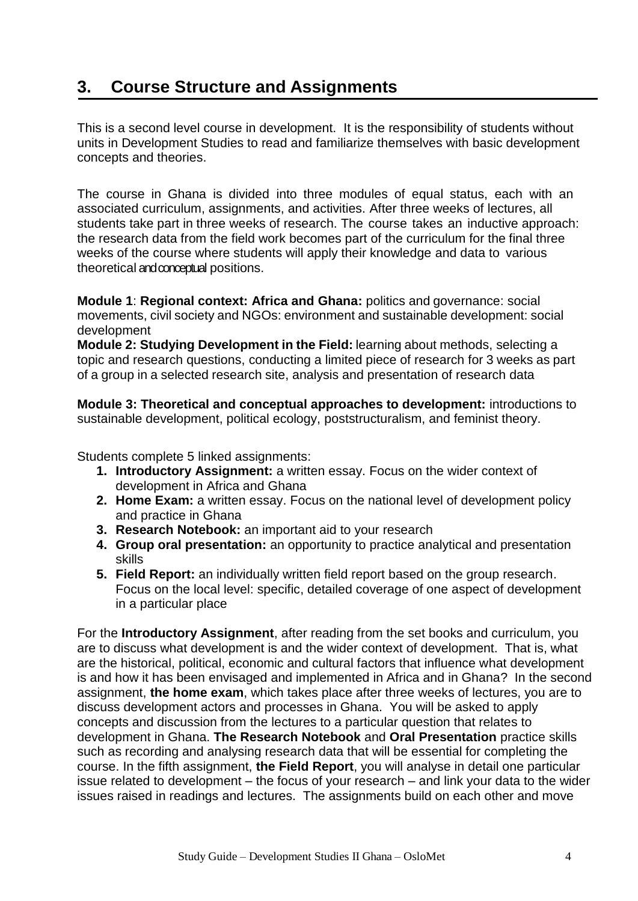# **3. Course Structure and Assignments**

This is a second level course in development. It is the responsibility of students without units in Development Studies to read and familiarize themselves with basic development concepts and theories.

The course in Ghana is divided into three modules of equal status, each with an associated curriculum, assignments, and activities. After three weeks of lectures, all students take part in three weeks of research. The course takes an inductive approach: the research data from the field work becomes part of the curriculum for the final three weeks of the course where students will apply their knowledge and data to various theoretical and conceptual positions.

**Module 1**: **Regional context: Africa and Ghana:** politics and governance: social movements, civil society and NGOs: environment and sustainable development: social development

**Module 2: Studying Development in the Field:** learning about methods, selecting a topic and research questions, conducting a limited piece of research for 3 weeks as part of a group in a selected research site, analysis and presentation of research data

**Module 3: Theoretical and conceptual approaches to development:** introductions to sustainable development, political ecology, poststructuralism, and feminist theory.

Students complete 5 linked assignments:

- **1. Introductory Assignment:** a written essay. Focus on the wider context of development in Africa and Ghana
- **2. Home Exam:** a written essay. Focus on the national level of development policy and practice in Ghana
- **3. Research Notebook:** an important aid to your research
- **4. Group oral presentation:** an opportunity to practice analytical and presentation skills
- **5. Field Report:** an individually written field report based on the group research. Focus on the local level: specific, detailed coverage of one aspect of development in a particular place

For the **Introductory Assignment**, after reading from the set books and curriculum, you are to discuss what development is and the wider context of development. That is, what are the historical, political, economic and cultural factors that influence what development is and how it has been envisaged and implemented in Africa and in Ghana? In the second assignment, **the home exam**, which takes place after three weeks of lectures, you are to discuss development actors and processes in Ghana. You will be asked to apply concepts and discussion from the lectures to a particular question that relates to development in Ghana. **The Research Notebook** and **Oral Presentation** practice skills such as recording and analysing research data that will be essential for completing the course. In the fifth assignment, **the Field Report**, you will analyse in detail one particular issue related to development – the focus of your research – and link your data to the wider issues raised in readings and lectures. The assignments build on each other and move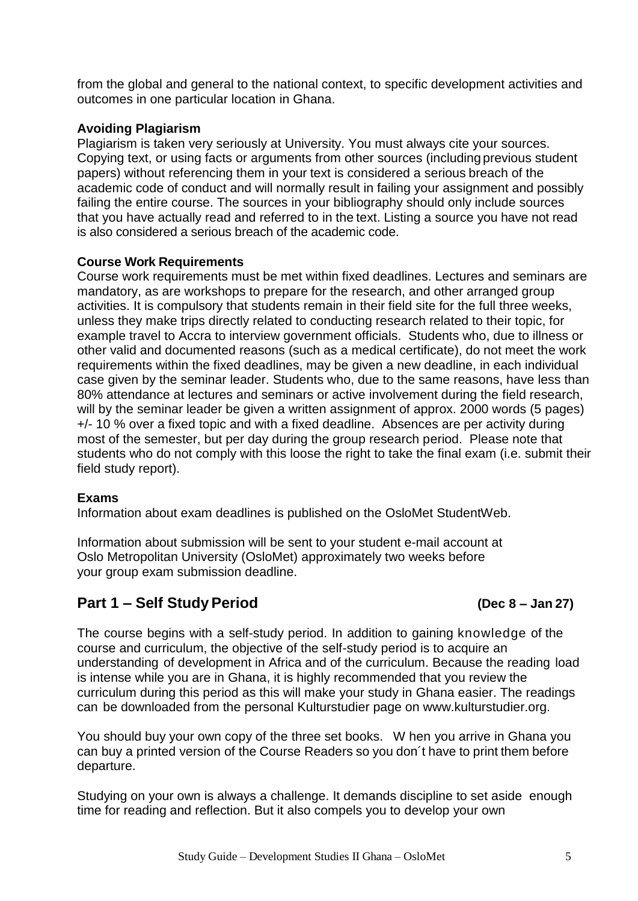from the global and general to the national context, to specific development activities and outcomes in one particular location in Ghana.

#### **Avoiding Plagiarism**

Plagiarism is taken very seriously at University. You must always cite your sources. Copying text, or using facts or arguments from other sources (including previous student papers) without referencing them in your text is considered a serious breach of the academic code of conduct and will normally result in failing your assignment and possibly failing the entire course. The sources in your bibliography should only include sources that you have actually read and referred to in the text. Listing a source you have not read is also considered a serious breach of the academic code.

#### **Course Work Requirements**

Course work requirements must be met within fixed deadlines. Lectures and seminars are mandatory, as are workshops to prepare for the research, and other arranged group activities. It is compulsory that students remain in their field site for the full three weeks, unless they make trips directly related to conducting research related to their topic, for example travel to Accra to interview government officials. Students who, due to illness or other valid and documented reasons (such as a medical certificate), do not meet the work requirements within the fixed deadlines, may be given a new deadline, in each individual case given by the seminar leader. Students who, due to the same reasons, have less than 80% attendance at lectures and seminars or active involvement during the field research, will by the seminar leader be given a written assignment of approx. 2000 words (5 pages) +/- 10 % over a fixed topic and with a fixed deadline. Absences are per activity during most of the semester, but per day during the group research period. Please note that students who do not comply with this loose the right to take the final exam (i.e. submit their field study report).

#### **Exams**

Information about exam deadlines is published on the OsloMet StudentWeb.

Information about submission will be sent to your student e-mail account at Oslo Metropolitan University (OsloMet) approximately two weeks before your group exam submission deadline.

### **Part 1 – Self StudyPeriod (Dec 8 – Jan 27)**

The course begins with a self-study period. In addition to gaining knowledge of the course and curriculum, the objective of the self-study period is to acquire an understanding of development in Africa and of the curriculum. Because the reading load is intense while you are in Ghana, it is highly recommended that you review the curriculum during this period as this will make your study in Ghana easier. The readings can be downloaded from the personal Kulturstudier page on www.kulturstudier.org.

You should buy your own copy of the three set books. W hen you arrive in Ghana you can buy a printed version of the Course Readers so you don´t have to print them before departure.

Studying on your own is always a challenge. It demands discipline to set aside enough time for reading and reflection. But it also compels you to develop your own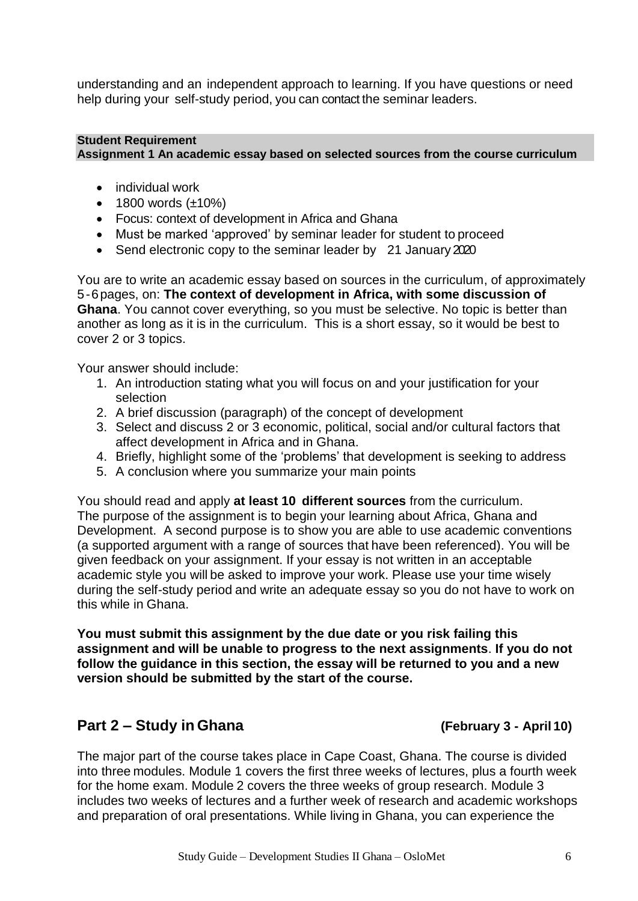understanding and an independent approach to learning. If you have questions or need help during your self-study period, you can contact the seminar leaders.

#### **Student Requirement Assignment 1 An academic essay based on selected sources from the course curriculum**

- individual work
- $\bullet$  1800 words ( $\pm$ 10%)
- Focus: context of development in Africa and Ghana
- Must be marked 'approved' by seminar leader for student to proceed
- Send electronic copy to the seminar leader by 21 January 2020

You are to write an academic essay based on sources in the curriculum, of approximately 5 -6 pages, on: **The context of development in Africa, with some discussion of Ghana**. You cannot cover everything, so you must be selective. No topic is better than another as long as it is in the curriculum. This is a short essay, so it would be best to cover 2 or 3 topics.

Your answer should include:

- 1. An introduction stating what you will focus on and your justification for your selection
- 2. A brief discussion (paragraph) of the concept of development
- 3. Select and discuss 2 or 3 economic, political, social and/or cultural factors that affect development in Africa and in Ghana.
- 4. Briefly, highlight some of the 'problems' that development is seeking to address
- 5. A conclusion where you summarize your main points

You should read and apply **at least 10 different sources** from the curriculum. The purpose of the assignment is to begin your learning about Africa, Ghana and Development. A second purpose is to show you are able to use academic conventions (a supported argument with a range of sources that have been referenced). You will be given feedback on your assignment. If your essay is not written in an acceptable academic style you will be asked to improve your work. Please use your time wisely during the self-study period and write an adequate essay so you do not have to work on this while in Ghana.

**You must submit this assignment by the due date or you risk failing this assignment and will be unable to progress to the next assignments**. **If you do not follow the guidance in this section, the essay will be returned to you and a new version should be submitted by the start of the course.**

### **Part 2 – Study in Ghana (February 3 - April 10)**

The major part of the course takes place in Cape Coast, Ghana. The course is divided into three modules. Module 1 covers the first three weeks of lectures, plus a fourth week for the home exam. Module 2 covers the three weeks of group research. Module 3 includes two weeks of lectures and a further week of research and academic workshops and preparation of oral presentations. While living in Ghana, you can experience the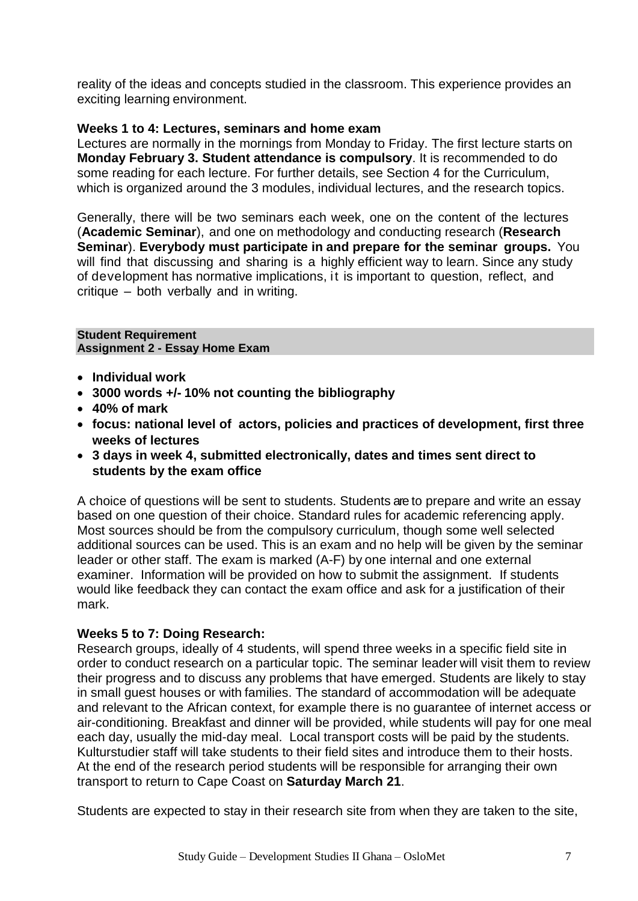reality of the ideas and concepts studied in the classroom. This experience provides an exciting learning environment.

#### **Weeks 1 to 4: Lectures, seminars and home exam**

Lectures are normally in the mornings from Monday to Friday. The first lecture starts on **Monday February 3. Student attendance is compulsory**. It is recommended to do some reading for each lecture. For further details, see Section 4 for the Curriculum, which is organized around the 3 modules, individual lectures, and the research topics.

Generally, there will be two seminars each week, one on the content of the lectures (**Academic Seminar**), and one on methodology and conducting research (**Research Seminar**). **Everybody must participate in and prepare for the seminar groups.** You will find that discussing and sharing is a highly efficient way to learn. Since any study of development has normative implications, it is important to question, reflect, and critique – both verbally and in writing.

**Student Requirement Assignment 2 - Essay Home Exam**

- **Individual work**
- **3000 words +/- 10% not counting the bibliography**
- **40% of mark**
- **focus: national level of actors, policies and practices of development, first three weeks of lectures**
- **3 days in week 4, submitted electronically, dates and times sent direct to students by the exam office**

A choice of questions will be sent to students. Students are to prepare and write an essay based on one question of their choice. Standard rules for academic referencing apply. Most sources should be from the compulsory curriculum, though some well selected additional sources can be used. This is an exam and no help will be given by the seminar leader or other staff. The exam is marked (A-F) by one internal and one external examiner. Information will be provided on how to submit the assignment. If students would like feedback they can contact the exam office and ask for a justification of their mark.

#### **Weeks 5 to 7: Doing Research:**

Research groups, ideally of 4 students, will spend three weeks in a specific field site in order to conduct research on a particular topic. The seminar leader will visit them to review their progress and to discuss any problems that have emerged. Students are likely to stay in small guest houses or with families. The standard of accommodation will be adequate and relevant to the African context, for example there is no guarantee of internet access or air-conditioning. Breakfast and dinner will be provided, while students will pay for one meal each day, usually the mid-day meal. Local transport costs will be paid by the students. Kulturstudier staff will take students to their field sites and introduce them to their hosts. At the end of the research period students will be responsible for arranging their own transport to return to Cape Coast on **Saturday March 21**.

Students are expected to stay in their research site from when they are taken to the site,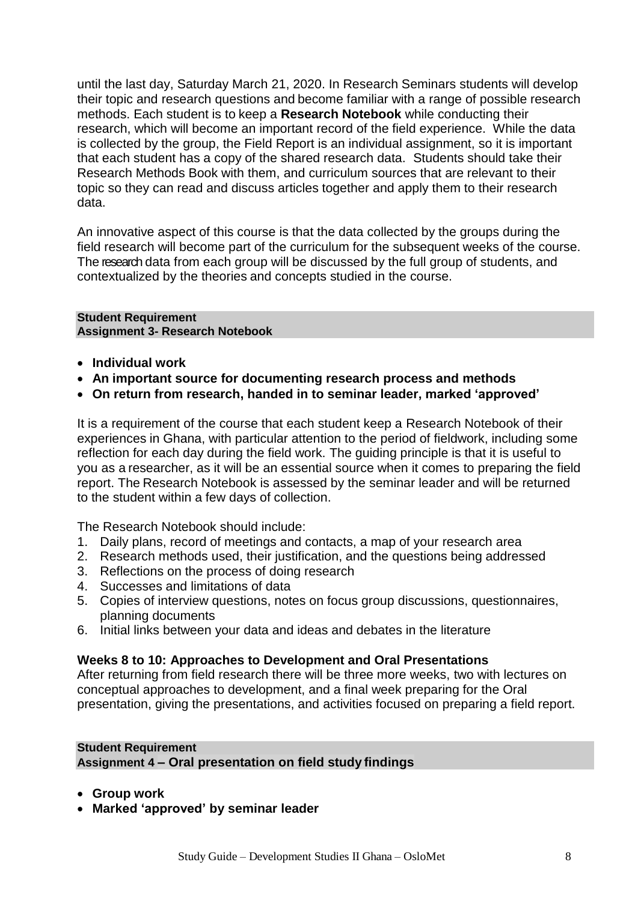until the last day, Saturday March 21, 2020. In Research Seminars students will develop their topic and research questions and become familiar with a range of possible research methods. Each student is to keep a **Research Notebook** while conducting their research, which will become an important record of the field experience. While the data is collected by the group, the Field Report is an individual assignment, so it is important that each student has a copy of the shared research data. Students should take their Research Methods Book with them, and curriculum sources that are relevant to their topic so they can read and discuss articles together and apply them to their research data.

An innovative aspect of this course is that the data collected by the groups during the field research will become part of the curriculum for the subsequent weeks of the course. The research data from each group will be discussed by the full group of students, and contextualized by the theories and concepts studied in the course.

#### **Student Requirement Assignment 3- Research Notebook**

- **Individual work**
- **An important source for documenting research process and methods**
- **On return from research, handed in to seminar leader, marked 'approved'**

It is a requirement of the course that each student keep a Research Notebook of their experiences in Ghana, with particular attention to the period of fieldwork, including some reflection for each day during the field work. The guiding principle is that it is useful to you as a researcher, as it will be an essential source when it comes to preparing the field report. The Research Notebook is assessed by the seminar leader and will be returned to the student within a few days of collection.

The Research Notebook should include:

- 1. Daily plans, record of meetings and contacts, a map of your research area
- 2. Research methods used, their justification, and the questions being addressed
- 3. Reflections on the process of doing research
- 4. Successes and limitations of data
- 5. Copies of interview questions, notes on focus group discussions, questionnaires, planning documents
- 6. Initial links between your data and ideas and debates in the literature

#### **Weeks 8 to 10: Approaches to Development and Oral Presentations**

After returning from field research there will be three more weeks, two with lectures on conceptual approaches to development, and a final week preparing for the Oral presentation, giving the presentations, and activities focused on preparing a field report.

## **Student Requirement**

**Assignment 4 – Oral presentation on field study findings**

- **Group work**
- **Marked 'approved' by seminar leader**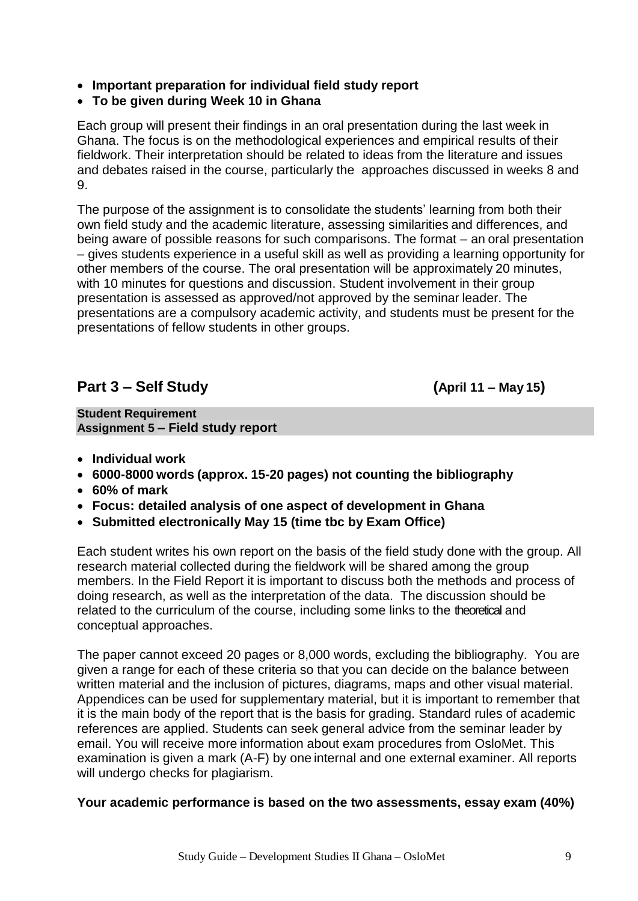- **Important preparation for individual field study report**
- **To be given during Week 10 in Ghana**

Each group will present their findings in an oral presentation during the last week in Ghana. The focus is on the methodological experiences and empirical results of their fieldwork. Their interpretation should be related to ideas from the literature and issues and debates raised in the course, particularly the approaches discussed in weeks 8 and 9.

The purpose of the assignment is to consolidate the students' learning from both their own field study and the academic literature, assessing similarities and differences, and being aware of possible reasons for such comparisons. The format – an oral presentation – gives students experience in a useful skill as well as providing a learning opportunity for other members of the course. The oral presentation will be approximately 20 minutes, with 10 minutes for questions and discussion. Student involvement in their group presentation is assessed as approved/not approved by the seminar leader. The presentations are a compulsory academic activity, and students must be present for the presentations of fellow students in other groups.

### **Part 3 – Self Study (April 11 – May 15)**

**Student Requirement Assignment 5 – Field study report**

- **Individual work**
- **6000-8000 words (approx. 15-20 pages) not counting the bibliography**
- **60% of mark**
- **Focus: detailed analysis of one aspect of development in Ghana**
- **Submitted electronically May 15 (time tbc by Exam Office)**

Each student writes his own report on the basis of the field study done with the group. All research material collected during the fieldwork will be shared among the group members. In the Field Report it is important to discuss both the methods and process of doing research, as well as the interpretation of the data. The discussion should be related to the curriculum of the course, including some links to the theoretical and conceptual approaches.

The paper cannot exceed 20 pages or 8,000 words, excluding the bibliography. You are given a range for each of these criteria so that you can decide on the balance between written material and the inclusion of pictures, diagrams, maps and other visual material. Appendices can be used for supplementary material, but it is important to remember that it is the main body of the report that is the basis for grading. Standard rules of academic references are applied. Students can seek general advice from the seminar leader by email. You will receive more information about exam procedures from OsloMet. This examination is given a mark (A-F) by one internal and one external examiner. All reports will undergo checks for plagiarism.

#### **Your academic performance is based on the two assessments, essay exam (40%)**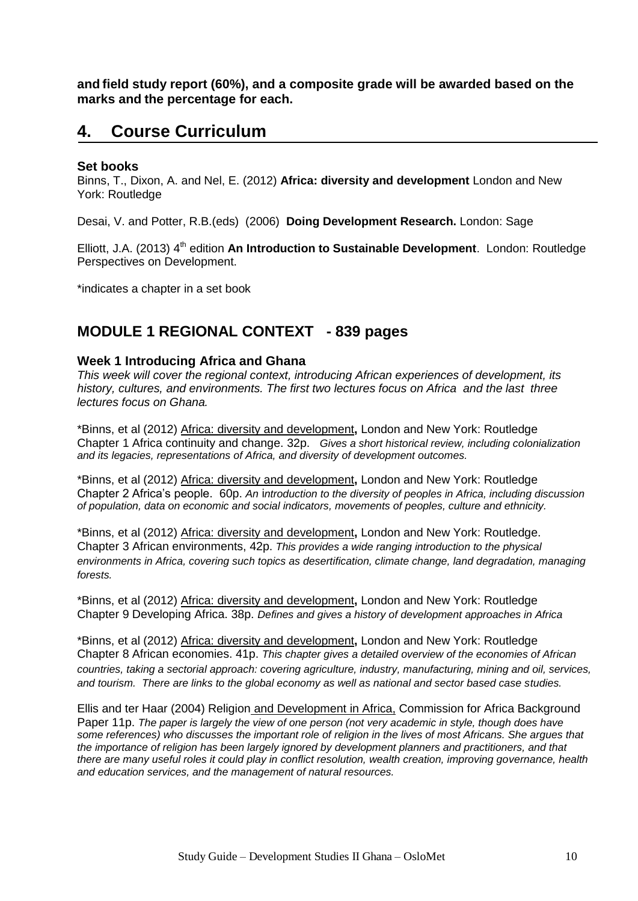**and field study report (60%), and a composite grade will be awarded based on the marks and the percentage for each.**

# **4. Course Curriculum**

#### **Set books**

Binns, T., Dixon, A. and Nel, E. (2012) **Africa: diversity and development** London and New York: Routledge

Desai, V. and Potter, R.B.(eds) (2006) **Doing Development Research.** London: Sage

Elliott, J.A. (2013) 4<sup>th</sup> edition An Introduction to Sustainable Development. London: Routledge Perspectives on Development.

\*indicates a chapter in a set book

#### **MODULE 1 REGIONAL CONTEXT - 839 pages**

#### **Week 1 Introducing Africa and Ghana**

*This week will cover the regional context, introducing African experiences of development, its history, cultures, and environments. The first two lectures focus on Africa and the last three lectures focus on Ghana.*

\*Binns, et al (2012) Africa: diversity and development**,** London and New York: Routledge Chapter 1 Africa continuity and change. 32p. *Gives a short historical review, including colonialization and its legacies, representations of Africa, and diversity of development outcomes.*

\*Binns, et al (2012) Africa: diversity and development**,** London and New York: Routledge Chapter 2 Africa's people. 60p. *An* i*ntroduction to the diversity of peoples in Africa, including discussion of population, data on economic and social indicators, movements of peoples, culture and ethnicity.*

\*Binns, et al (2012) Africa: diversity and development**,** London and New York: Routledge. Chapter 3 African environments, 42p. *This provides a wide ranging introduction to the physical environments in Africa, covering such topics as desertification, climate change, land degradation, managing forests.*

\*Binns, et al (2012) Africa: diversity and development**,** London and New York: Routledge Chapter 9 Developing Africa. 38p. *Defines and gives a history of development approaches in Africa*

\*Binns, et al (2012) Africa: diversity and development**,** London and New York: Routledge Chapter 8 African economies. 41p. *This chapter gives a detailed overview of the economies of African countries, taking a sectorial approach: covering agriculture, industry, manufacturing, mining and oil, services, and tourism. There are links to the global economy as well as national and sector based case studies.*

Ellis and ter Haar (2004) Religion and Development in Africa, Commission for Africa Background Paper 11p. *The paper is largely the view of one person (not very academic in style, though does have some references) who discusses the important role of religion in the lives of most Africans. She argues that the importance of religion has been largely ignored by development planners and practitioners, and that there are many useful roles it could play in conflict resolution, wealth creation, improving governance, health and education services, and the management of natural resources.*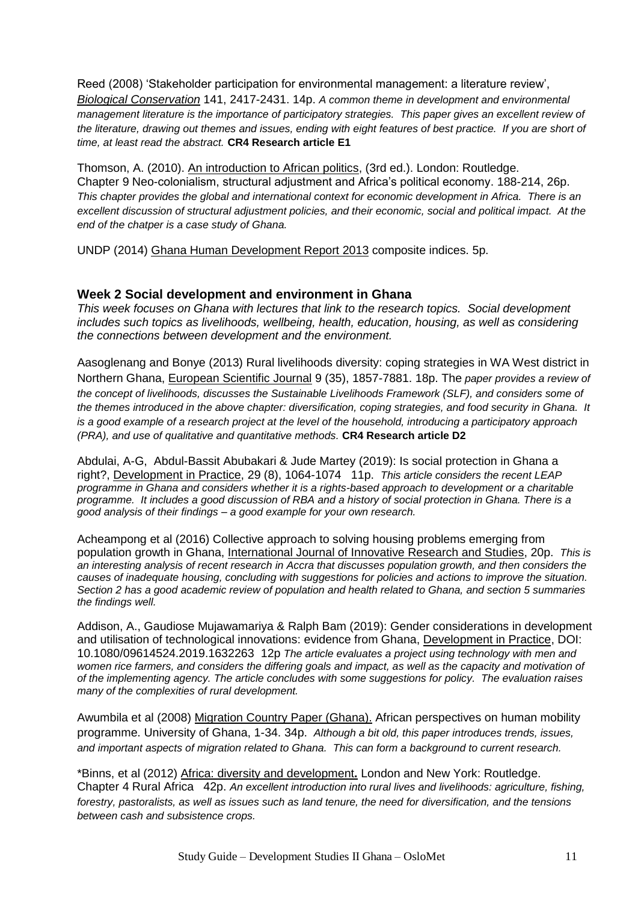Reed (2008) 'Stakeholder participation for environmental management: a literature review', *Biological Conservation* 141, 2417-2431. 14p. *A common theme in development and environmental management literature is the importance of participatory strategies. This paper gives an excellent review of*  the literature, drawing out themes and issues, ending with eight features of best practice. If you are short of *time, at least read the abstract.* **CR4 Research article E1**

Thomson, A. (2010). An introduction to African politics, (3rd ed.). London: Routledge. Chapter 9 Neo-colonialism, structural adjustment and Africa's political economy. 188-214, 26p. *This chapter provides the global and international context for economic development in Africa. There is an excellent discussion of structural adjustment policies, and their economic, social and political impact. At the end of the chatper is a case study of Ghana.*

UNDP (2014) Ghana Human Development Report 2013 composite indices. 5p.

#### **Week 2 Social development and environment in Ghana**

*This week focuses on Ghana with lectures that link to the research topics. Social development includes such topics as livelihoods, wellbeing, health, education, housing, as well as considering the connections between development and the environment.*

Aasoglenang and Bonye (2013) Rural livelihoods diversity: coping strategies in WA West district in Northern Ghana, European Scientific Journal 9 (35), 1857-7881. 18p. The *paper provides a review of the concept of livelihoods, discusses the Sustainable Livelihoods Framework (SLF), and considers some of the themes introduced in the above chapter: diversification, coping strategies, and food security in Ghana. It is a good example of a research project at the level of the household, introducing a participatory approach (PRA), and use of qualitative and quantitative methods.* **CR4 Research article D2**

Abdulai, A-G, Abdul-Bassit Abubakari & Jude Martey (2019): Is social protection in Ghana a right?, Development in Practice, 29 (8), 1064-1074 11p. *This article considers the recent LEAP programme in Ghana and considers whether it is a rights-based approach to development or a charitable programme. It includes a good discussion of RBA and a history of social protection in Ghana. There is a good analysis of their findings – a good example for your own research.*

Acheampong et al (2016) Collective approach to solving housing problems emerging from population growth in Ghana, International Journal of Innovative Research and Studies, 20p. *This is an interesting analysis of recent research in Accra that discusses population growth, and then considers the causes of inadequate housing, concluding with suggestions for policies and actions to improve the situation. Section 2 has a good academic review of population and health related to Ghana, and section 5 summaries the findings well.*

Addison, A., Gaudiose Mujawamariya & Ralph Bam (2019): Gender considerations in development and utilisation of technological innovations: evidence from Ghana, Development in Practice, DOI: 10.1080/09614524.2019.1632263 12p *The article evaluates a project using technology with men and women rice farmers, and considers the differing goals and impact, as well as the capacity and motivation of of the implementing agency. The article concludes with some suggestions for policy. The evaluation raises many of the complexities of rural development.*

Awumbila et al (2008) Migration Country Paper (Ghana). African perspectives on human mobility programme. University of Ghana, 1-34. 34p. *Although a bit old, this paper introduces trends, issues, and important aspects of migration related to Ghana. This can form a background to current research.* 

\*Binns, et al (2012) Africa: diversity and development**.** London and New York: Routledge. Chapter 4 Rural Africa 42p. *An excellent introduction into rural lives and livelihoods: agriculture, fishing, forestry, pastoralists, as well as issues such as land tenure, the need for diversification, and the tensions between cash and subsistence crops.*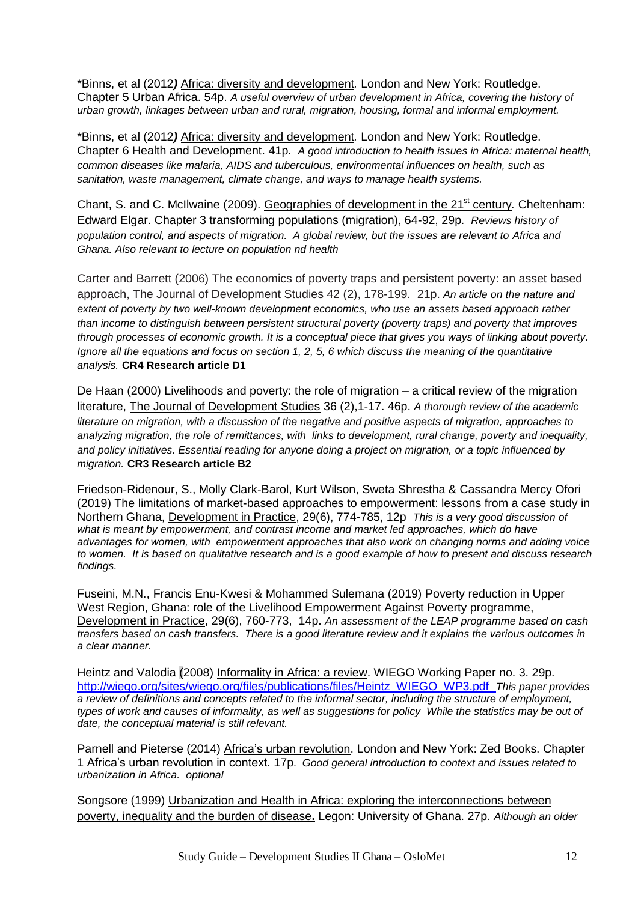\*Binns, et al (2012*)* Africa: diversity and development*.* London and New York: Routledge. Chapter 5 Urban Africa. 54p. *A useful overview of urban development in Africa, covering the history of urban growth, linkages between urban and rural, migration, housing, formal and informal employment.* 

\*Binns, et al (2012*)* Africa: diversity and development*.* London and New York: Routledge. Chapter 6 Health and Development. 41p. *A good introduction to health issues in Africa: maternal health, common diseases like malaria, AIDS and tuberculous, environmental influences on health, such as sanitation, waste management, climate change, and ways to manage health systems.*

Chant, S. and C. McIlwaine (2009). Geographies of development in the 21<sup>st</sup> century. Cheltenham: Edward Elgar. Chapter 3 transforming populations (migration), 64-92, 29p. *Reviews history of population control, and aspects of migration. A global review, but the issues are relevant to Africa and Ghana. Also relevant to lecture on population nd health*

Carter and Barrett (2006) The economics of poverty traps and persistent poverty: an asset based approach, The Journal of Development Studies 42 (2), 178-199. 21p. *An article on the nature and extent of poverty by two well-known development economics, who use an assets based approach rather than income to distinguish between persistent structural poverty (poverty traps) and poverty that improves through processes of economic growth. It is a conceptual piece that gives you ways of linking about poverty. Ignore all the equations and focus on section 1, 2, 5, 6 which discuss the meaning of the quantitative analysis.* **CR4 Research article D1**

De Haan (2000) Livelihoods and poverty: the role of migration – a critical review of the migration literature, The Journal of Development Studies 36 (2),1-17. 46p. *A thorough review of the academic literature on migration, with a discussion of the negative and positive aspects of migration, approaches to analyzing migration, the role of remittances, with links to development, rural change, poverty and inequality, and policy initiatives. Essential reading for anyone doing a project on migration, or a topic influenced by migration.* **CR3 Research article B2**

Friedson-Ridenour, S., Molly Clark-Barol, Kurt Wilson, Sweta Shrestha & Cassandra Mercy Ofori (2019) The limitations of market-based approaches to empowerment: lessons from a case study in Northern Ghana, Development in Practice, 29(6), 774-785, 12p *This is a very good discussion of*  what is meant by empowerment, and contrast income and market led approaches, which do have *advantages for women, with empowerment approaches that also work on changing norms and adding voice to women. It is based on qualitative research and is a good example of how to present and discuss research findings.*

Fuseini, M.N., Francis Enu-Kwesi & Mohammed Sulemana (2019) Poverty reduction in Upper West Region, Ghana: role of the Livelihood Empowerment Against Poverty programme, Development in Practice, 29(6), 760-773, 14p. *An assessment of the LEAP programme based on cash transfers based on cash transfers. There is a good literature review and it explains the various outcomes in a clear manner.*

Heintz and Valodia (2008) Informality in Africa: a review. WIEGO Working Paper no. 3. 29p. [http://wiego.org/sites/wiego.org/files/publications/files/Heintz\\_WIEGO\\_WP3.pdf](http://wiego.org/sites/wiego.org/files/publications/files/Heintz_WIEGO_WP3.pdf) *This paper provides a review of definitions and concepts related to the informal sector, including the structure of employment, types of work and causes of informality, as well as suggestions for policy While the statistics may be out of date, the conceptual material is still relevant.*

Parnell and Pieterse (2014) Africa's urban revolution. London and New York: Zed Books. Chapter 1 Africa's urban revolution in context. 17p. *Good general introduction to context and issues related to urbanization in Africa. optional*

Songsore (1999) Urbanization and Health in Africa: exploring the interconnections between poverty, inequality and the burden of disease**.** Legon: University of Ghana. 27p. *Although an older*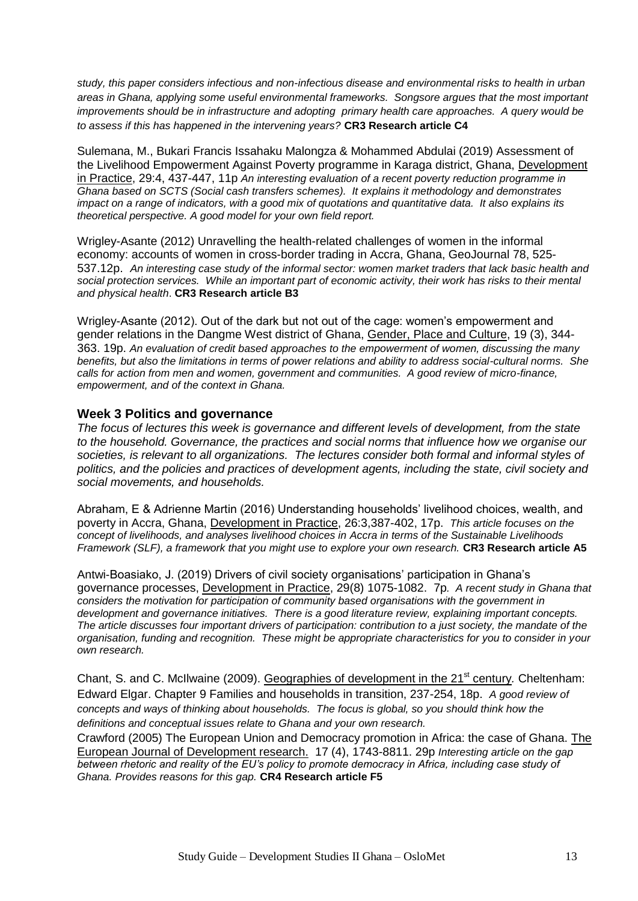*study, this paper considers infectious and non-infectious disease and environmental risks to health in urban areas in Ghana, applying some useful environmental frameworks. Songsore argues that the most important improvements should be in infrastructure and adopting primary health care approaches. A query would be to assess if this has happened in the intervening years?* **CR3 Research article C4**

Sulemana, M., Bukari Francis Issahaku Malongza & Mohammed Abdulai (2019) Assessment of the Livelihood Empowerment Against Poverty programme in Karaga district, Ghana, Development in Practice, 29:4, 437-447, 11p *An interesting evaluation of a recent poverty reduction programme in Ghana based on SCTS (Social cash transfers schemes). It explains it methodology and demonstrates impact on a range of indicators, with a good mix of quotations and quantitative data. It also explains its theoretical perspective. A good model for your own field report.*

Wrigley-Asante (2012) Unravelling the health-related challenges of women in the informal economy: accounts of women in cross-border trading in Accra, Ghana, GeoJournal 78, 525- 537.12p. *An interesting case study of the informal sector: women market traders that lack basic health and social protection services. While an important part of economic activity, their work has risks to their mental and physical health*. **CR3 Research article B3**

Wrigley-Asante (2012). Out of the dark but not out of the cage: women's empowerment and gender relations in the Dangme West district of Ghana, Gender, Place and Culture, 19 (3), 344- 363. 19p. *An evaluation of credit based approaches to the empowerment of women, discussing the many benefits, but also the limitations in terms of power relations and ability to address social-cultural norms. She calls for action from men and women, government and communities. A good review of micro-finance, empowerment, and of the context in Ghana.*

#### **Week 3 Politics and governance**

*The focus of lectures this week is governance and different levels of development, from the state to the household. Governance, the practices and social norms that influence how we organise our societies, is relevant to all organizations. The lectures consider both formal and informal styles of politics, and the policies and practices of development agents, including the state, civil society and social movements, and households.*

Abraham, E & Adrienne Martin (2016) Understanding households' livelihood choices, wealth, and poverty in Accra, Ghana, Development in Practice, 26:3,387-402, 17p. *This article focuses on the concept of livelihoods, and analyses livelihood choices in Accra in terms of the Sustainable Livelihoods Framework (SLF), a framework that you might use to explore your own research.* **CR3 Research article A5**

Antwi-Boasiako, J. (2019) Drivers of civil society organisations' participation in Ghana's governance processes, Development in Practice, 29(8) 1075-1082. 7p*. A recent study in Ghana that considers the motivation for participation of community based organisations with the government in development and governance initiatives. There is a good literature review, explaining important concepts. The article discusses four important drivers of participation: contribution to a just society, the mandate of the organisation, funding and recognition. These might be appropriate characteristics for you to consider in your own research.*

Chant, S. and C. McIlwaine (2009). Geographies of development in the 21st century*.* Cheltenham: Edward Elgar. Chapter 9 Families and households in transition, 237-254, 18p. *A good review of concepts and ways of thinking about households. The focus is global, so you should think how the definitions and conceptual issues relate to Ghana and your own research.*

Crawford (2005) The European Union and Democracy promotion in Africa: the case of Ghana. The European Journal of Development research. 17 (4), 1743-8811. 29p *Interesting article on the gap between rhetoric and reality of the EU's policy to promote democracy in Africa, including case study of Ghana. Provides reasons for this gap.* **CR4 Research article F5**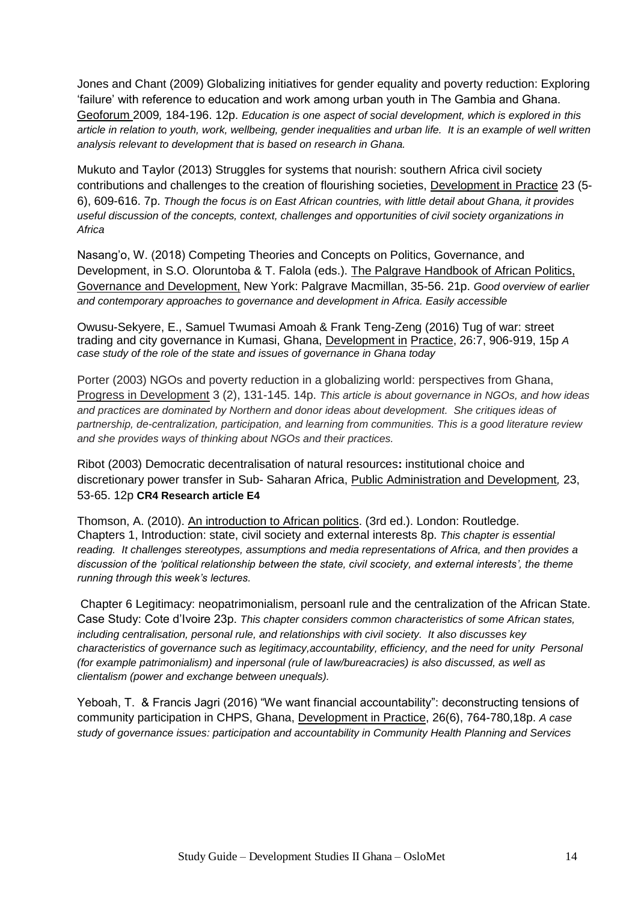Jones and Chant (2009) Globalizing initiatives for gender equality and poverty reduction: Exploring 'failure' with reference to education and work among urban youth in The Gambia and Ghana. Geoforum 2009*,* 184-196. 12p. *Education is one aspect of social development, which is explored in this article in relation to youth, work, wellbeing, gender inequalities and urban life. It is an example of well written analysis relevant to development that is based on research in Ghana.*

Mukuto and Taylor (2013) Struggles for systems that nourish: southern Africa civil society contributions and challenges to the creation of flourishing societies, Development in Practice 23 (5- 6), 609-616. 7p. *Though the focus is on East African countries, with little detail about Ghana, it provides useful discussion of the concepts, context, challenges and opportunities of civil society organizations in Africa*

Nasang'o, W. (2018) Competing Theories and Concepts on Politics, Governance, and Development, in S.O. Oloruntoba & T. Falola (eds.). The Palgrave Handbook of African Politics, Governance and Development, New York: Palgrave Macmillan, 35-56. 21p. *Good overview of earlier and contemporary approaches to governance and development in Africa. Easily accessible*

Owusu-Sekyere, E., Samuel Twumasi Amoah & Frank Teng-Zeng (2016) Tug of war: street trading and city governance in Kumasi, Ghana, Development in Practice, 26:7, 906-919, 15p *A case study of the role of the state and issues of governance in Ghana today*

Porter (2003) NGOs and poverty reduction in a globalizing world: perspectives from Ghana, Progress in Development 3 (2), 131-145. 14p. *This article is about governance in NGOs, and how ideas and practices are dominated by Northern and donor ideas about development. She critiques ideas of partnership, de-centralization, participation, and learning from communities. This is a good literature review and she provides ways of thinking about NGOs and their practices.* 

Ribot (2003) Democratic decentralisation of natural resources**:** institutional choice and discretionary power transfer in Sub- Saharan Africa, Public Administration and Development*,* 23, 53-65. 12p **CR4 Research article E4**

Thomson, A. (2010). An introduction to African politics. (3rd ed.). London: Routledge. Chapters 1, Introduction: state, civil society and external interests 8p. *This chapter is essential reading. It challenges stereotypes, assumptions and media representations of Africa, and then provides a discussion of the 'political relationship between the state, civil scociety, and external interests', the theme running through this week's lectures.*

Chapter 6 Legitimacy: neopatrimonialism, persoanl rule and the centralization of the African State. Case Study: Cote d'Ivoire 23p. *This chapter considers common characteristics of some African states, including centralisation, personal rule, and relationships with civil society. It also discusses key characteristics of governance such as legitimacy,accountability, efficiency, and the need for unity Personal (for example patrimonialism) and inpersonal (rule of law/bureacracies) is also discussed, as well as clientalism (power and exchange between unequals).* 

Yeboah, T. & Francis Jagri (2016) "We want financial accountability": deconstructing tensions of community participation in CHPS, Ghana, Development in Practice, 26(6), 764-780,18p. *A case study of governance issues: participation and accountability in Community Health Planning and Services*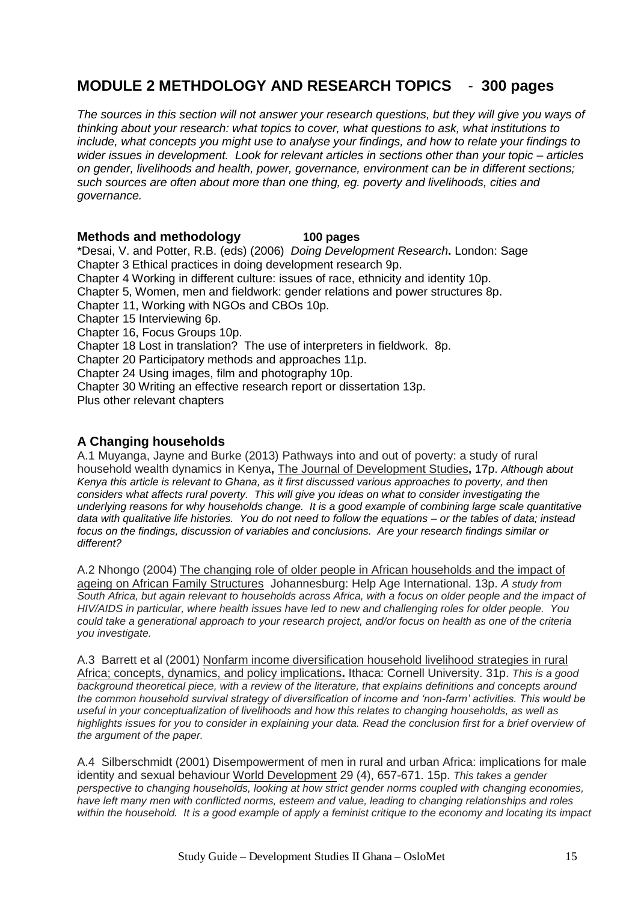## **MODULE 2 METHDOLOGY AND RESEARCH TOPICS** - **300 pages**

*The sources in this section will not answer your research questions, but they will give you ways of thinking about your research: what topics to cover, what questions to ask, what institutions to include, what concepts you might use to analyse your findings, and how to relate your findings to wider issues in development. Look for relevant articles in sections other than your topic – articles on gender, livelihoods and health, power, governance, environment can be in different sections; such sources are often about more than one thing, eg. poverty and livelihoods, cities and governance.* 

#### **Methods and methodology 100 pages**

\*Desai, V. and Potter, R.B. (eds) (2006) *Doing Development Research***.** London: Sage Chapter 3 Ethical practices in doing development research 9p. Chapter 4 Working in different culture: issues of race, ethnicity and identity 10p. Chapter 5, Women, men and fieldwork: gender relations and power structures 8p. Chapter 11, Working with NGOs and CBOs 10p. Chapter 15 Interviewing 6p. Chapter 16, Focus Groups 10p. Chapter 18 Lost in translation? The use of interpreters in fieldwork. 8p. Chapter 20 Participatory methods and approaches 11p. Chapter 24 Using images, film and photography 10p. Chapter 30 Writing an effective research report or dissertation 13p. Plus other relevant chapters

#### **A Changing households**

A.1 Muyanga, Jayne and Burke (2013) Pathways into and out of poverty: a study of rural household wealth dynamics in Kenya**,** The Journal of Development Studies**,** 17p. *Although about Kenya this article is relevant to Ghana, as it first discussed various approaches to poverty, and then considers what affects rural poverty. This will give you ideas on what to consider investigating the underlying reasons for why households change. It is a good example of combining large scale quantitative data with qualitative life histories. You do not need to follow the equations – or the tables of data; instead focus on the findings, discussion of variables and conclusions. Are your research findings similar or different?*

A.2 Nhongo (2004) The changing role of older people in African households and the impact of ageing on African Family Structures Johannesburg: Help Age International. 13p. *A study from*  South Africa, but again relevant to households across Africa, with a focus on older people and the impact of *HIV/AIDS in particular, where health issues have led to new and challenging roles for older people. You could take a generational approach to your research project, and/or focus on health as one of the criteria you investigate.*

A.3 Barrett et al (2001) Nonfarm income diversification household livelihood strategies in rural Africa; concepts, dynamics, and policy implications**.** Ithaca: Cornell University. 31p. *This is a good background theoretical piece, with a review of the literature, that explains definitions and concepts around the common household survival strategy of diversification of income and 'non-farm' activities. This would be useful in your conceptualization of livelihoods and how this relates to changing households, as well as highlights issues for you to consider in explaining your data. Read the conclusion first for a brief overview of the argument of the paper.*

A.4 Silberschmidt (2001) Disempowerment of men in rural and urban Africa: implications for male identity and sexual behaviour World Development 29 (4), 657-671. 15p. *This takes a gender perspective to changing households, looking at how strict gender norms coupled with changing economies, have left many men with conflicted norms, esteem and value, leading to changing relationships and roles within the household. It is a good example of apply a feminist critique to the economy and locating its impact*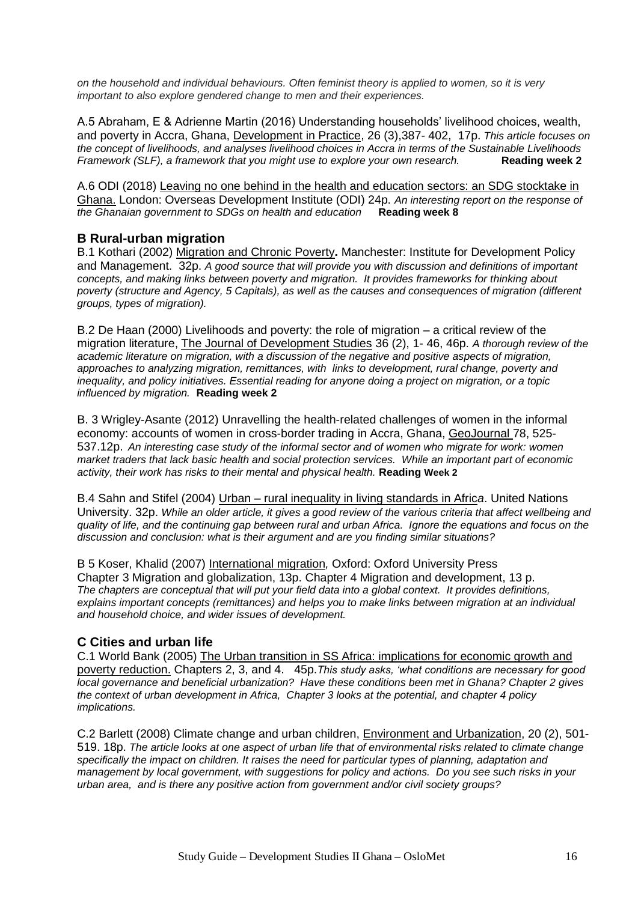*on the household and individual behaviours. Often feminist theory is applied to women, so it is very important to also explore gendered change to men and their experiences.*

A.5 Abraham, E & Adrienne Martin (2016) Understanding households' livelihood choices, wealth, and poverty in Accra, Ghana, Development in Practice, 26 (3),387- 402, 17p. *This article focuses on the concept of livelihoods, and analyses livelihood choices in Accra in terms of the Sustainable Livelihoods Framework (SLF), a framework that you might use to explore your own research.* **Reading week 2**

A.6 ODI (2018) Leaving no one behind in the health and education sectors: an SDG stocktake in Ghana. London: Overseas Development Institute (ODI) 24p. *An interesting report on the response of the Ghanaian government to SDGs on health and education* **Reading week 8**

#### **B Rural-urban migration**

B.1 Kothari (2002) Migration and Chronic Poverty**.** Manchester: Institute for Development Policy and Management. 32p. *A good source that will provide you with discussion and definitions of important concepts, and making links between poverty and migration. It provides frameworks for thinking about poverty (structure and Agency, 5 Capitals), as well as the causes and consequences of migration (different groups, types of migration).*

B.2 De Haan (2000) Livelihoods and poverty: the role of migration – a critical review of the migration literature, The Journal of Development Studies 36 (2), 1- 46, 46p. *A thorough review of the academic literature on migration, with a discussion of the negative and positive aspects of migration, approaches to analyzing migration, remittances, with links to development, rural change, poverty and inequality, and policy initiatives. Essential reading for anyone doing a project on migration, or a topic influenced by migration.* **Reading week 2**

B. 3 Wrigley-Asante (2012) Unravelling the health-related challenges of women in the informal economy: accounts of women in cross-border trading in Accra, Ghana, GeoJournal 78, 525- 537.12p. *An interesting case study of the informal sector and of women who migrate for work: women market traders that lack basic health and social protection services. While an important part of economic activity, their work has risks to their mental and physical health.* **Reading Week 2**

B.4 Sahn and Stifel (2004) Urban – rural inequality in living standards in Afric*a*. United Nations University. 32p. *While an older article, it gives a good review of the various criteria that affect wellbeing and quality of life, and the continuing gap between rural and urban Africa. Ignore the equations and focus on the discussion and conclusion: what is their argument and are you finding similar situations?* 

B 5 Koser, Khalid (2007) International migration*,* Oxford: Oxford University Press Chapter 3 Migration and globalization, 13p. Chapter 4 Migration and development, 13 p. *The chapters are conceptual that will put your field data into a global context. It provides definitions, explains important concepts (remittances) and helps you to make links between migration at an individual and household choice, and wider issues of development.*

#### **C Cities and urban life**

C.1 World Bank (2005) The Urban transition in SS Africa: implications for economic growth and poverty reduction. Chapters 2, 3, and 4. 45p.*This study asks, 'what conditions are necessary for good local governance and beneficial urbanization? Have these conditions been met in Ghana? Chapter 2 gives the context of urban development in Africa, Chapter 3 looks at the potential, and chapter 4 policy implications.*

C.2 Barlett (2008) Climate change and urban children, Environment and Urbanization, 20 (2), 501- 519. 18p. *The article looks at one aspect of urban life that of environmental risks related to climate change specifically the impact on children. It raises the need for particular types of planning, adaptation and management by local government, with suggestions for policy and actions. Do you see such risks in your urban area, and is there any positive action from government and/or civil society groups?*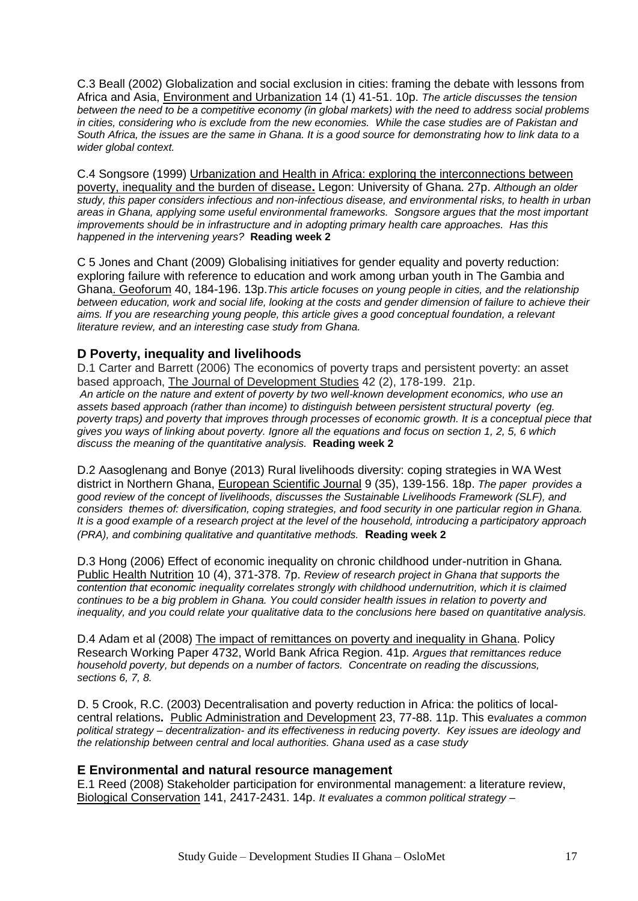C.3 Beall (2002) Globalization and social exclusion in cities: framing the debate with lessons from Africa and Asia, Environment and Urbanization 14 (1) 41-51. 10p. *The article discusses the tension between the need to be a competitive economy (in global markets) with the need to address social problems in cities, considering who is exclude from the new economies. While the case studies are of Pakistan and South Africa, the issues are the same in Ghana. It is a good source for demonstrating how to link data to a wider global context.*

C.4 Songsore (1999) Urbanization and Health in Africa: exploring the interconnections between poverty, inequality and the burden of disease**.** Legon: University of Ghana. 27p. *Although an older study, this paper considers infectious and non-infectious disease, and environmental risks, to health in urban areas in Ghana, applying some useful environmental frameworks. Songsore argues that the most important improvements should be in infrastructure and in adopting primary health care approaches. Has this happened in the intervening years?* **Reading week 2**

C 5 Jones and Chant (2009) Globalising initiatives for gender equality and poverty reduction: exploring failure with reference to education and work among urban youth in The Gambia and Ghana. Geoforum 40, 184-196. 13p.*This article focuses on young people in cities, and the relationship*  between education, work and social life, looking at the costs and gender dimension of failure to achieve their *aims. If you are researching young people, this article gives a good conceptual foundation, a relevant literature review, and an interesting case study from Ghana.*

#### **D Poverty, inequality and livelihoods**

D.1 Carter and Barrett (2006) The economics of poverty traps and persistent poverty: an asset based approach, The Journal of Development Studies 42 (2), 178-199. 21p. *An article on the nature and extent of poverty by two well-known development economics, who use an assets based approach (rather than income) to distinguish between persistent structural poverty (eg.*  poverty traps) and poverty that improves through processes of economic growth. It is a conceptual piece that *gives you ways of linking about poverty. Ignore all the equations and focus on section 1, 2, 5, 6 which discuss the meaning of the quantitative analysis.* **Reading week 2**

D.2 Aasoglenang and Bonye (2013) Rural livelihoods diversity: coping strategies in WA West district in Northern Ghana, European Scientific Journal 9 (35), 139-156. 18p. *The paper provides a good review of the concept of livelihoods, discusses the Sustainable Livelihoods Framework (SLF), and considers themes of: diversification, coping strategies, and food security in one particular region in Ghana. It is a good example of a research project at the level of the household, introducing a participatory approach (PRA), and combining qualitative and quantitative methods.* **Reading week 2** 

D.3 Hong (2006) Effect of economic inequality on chronic childhood under-nutrition in Ghana*.*  Public Health Nutrition 10 (4), 371-378. 7p. *Review of research project in Ghana that supports the contention that economic inequality correlates strongly with childhood undernutrition, which it is claimed continues to be a big problem in Ghana. You could consider health issues in relation to poverty and inequality, and you could relate your qualitative data to the conclusions here based on quantitative analysis.* 

D.4 Adam et al (2008) The impact of remittances on poverty and inequality in Ghana. Policy Research Working Paper 4732, World Bank Africa Region. 41p. *Argues that remittances reduce household poverty, but depends on a number of factors. Concentrate on reading the discussions, sections 6, 7, 8.*

D. 5 Crook, R.C. (2003) Decentralisation and poverty reduction in Africa: the politics of localcentral relations**.** Public Administration and Development 23, 77-88. 11p. This e*valuates a common political strategy – decentralization- and its effectiveness in reducing poverty. Key issues are ideology and the relationship between central and local authorities. Ghana used as a case study* 

#### **E Environmental and natural resource management**

E.1 Reed (2008) Stakeholder participation for environmental management: a literature review, Biological Conservation 141, 2417-2431. 14p. *It evaluates a common political strategy –*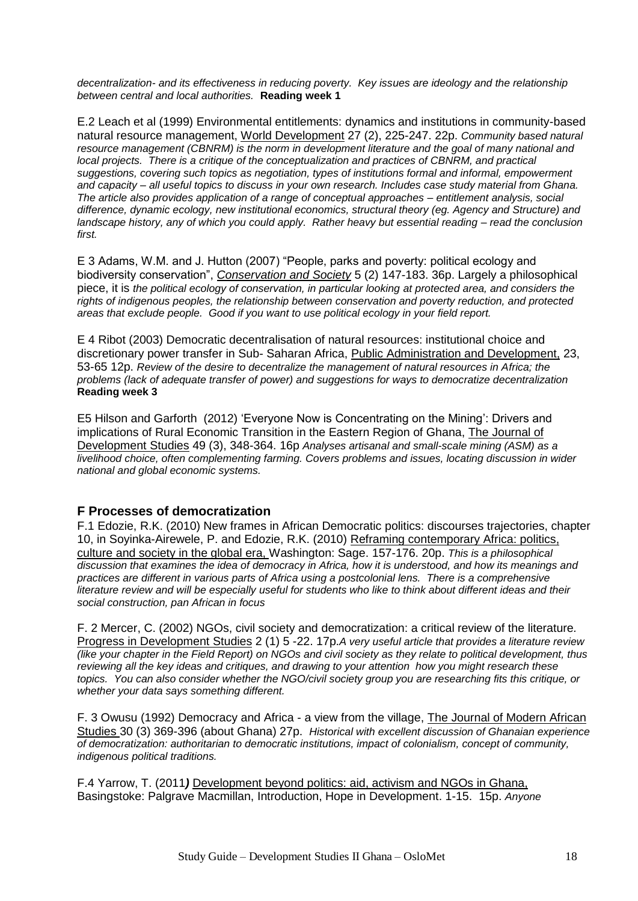*decentralization- and its effectiveness in reducing poverty. Key issues are ideology and the relationship between central and local authorities.* **Reading week 1**

E.2 Leach et al (1999) Environmental entitlements: dynamics and institutions in community-based natural resource management, World Development 27 (2), 225-247. 22p. *Community based natural resource management (CBNRM) is the norm in development literature and the goal of many national and local projects.* There is a critique of the conceptualization and practices of CBNRM, and practical *suggestions, covering such topics as negotiation, types of institutions formal and informal, empowerment and capacity – all useful topics to discuss in your own research. Includes case study material from Ghana. The article also provides application of a range of conceptual approaches – entitlement analysis, social difference, dynamic ecology, new institutional economics, structural theory (eg. Agency and Structure) and landscape history, any of which you could apply. Rather heavy but essential reading – read the conclusion first.*

E 3 Adams, W.M. and J. Hutton (2007) "People, parks and poverty: political ecology and biodiversity conservation", *Conservation and Society* 5 (2) 147-183. 36p. Largely a philosophical piece, it is *the political ecology of conservation, in particular looking at protected area, and considers the rights of indigenous peoples, the relationship between conservation and poverty reduction, and protected areas that exclude people. Good if you want to use political ecology in your field report.* 

E 4 Ribot (2003) Democratic decentralisation of natural resources: institutional choice and discretionary power transfer in Sub- Saharan Africa, Public Administration and Development, 23, 53-65 12p. *Review of the desire to decentralize the management of natural resources in Africa; the problems (lack of adequate transfer of power) and suggestions for ways to democratize decentralization* **Reading week 3**

E5 Hilson and Garforth (2012) 'Everyone Now is Concentrating on the Mining': Drivers and implications of Rural Economic Transition in the Eastern Region of Ghana, The Journal of Development Studies 49 (3), 348-364. 16p *Analyses artisanal and small-scale mining (ASM) as a livelihood choice, often complementing farming. Covers problems and issues, locating discussion in wider national and global economic systems.* 

#### **F Processes of democratization**

F.1 Edozie, R.K. (2010) New frames in African Democratic politics: discourses trajectories, chapter 10, in Soyinka-Airewele, P. and Edozie, R.K. (2010) Reframing contemporary Africa: politics, culture and society in the global era, Washington: Sage. 157-176. 20p. *This is a philosophical discussion that examines the idea of democracy in Africa, how it is understood, and how its meanings and practices are different in various parts of Africa using a postcolonial lens. There is a comprehensive literature review and will be especially useful for students who like to think about different ideas and their social construction, pan African in focus* 

F. 2 Mercer, C. (2002) NGOs, civil society and democratization: a critical review of the literature*.*  Progress in Development Studies 2 (1) 5 -22. 17p.*A very useful article that provides a literature review (like your chapter in the Field Report) on NGOs and civil society as they relate to political development, thus reviewing all the key ideas and critiques, and drawing to your attention how you might research these topics. You can also consider whether the NGO/civil society group you are researching fits this critique, or whether your data says something different.*

F. 3 Owusu (1992) Democracy and Africa - a view from the village, The Journal of Modern African Studies 30 (3) 369-396 (about Ghana) 27p. *Historical with excellent discussion of Ghanaian experience of democratization: authoritarian to democratic institutions, impact of colonialism, concept of community, indigenous political traditions.*

F.4 Yarrow, T. (2011*)* Development beyond politics: aid, activism and NGOs in Ghana, Basingstoke: Palgrave Macmillan, Introduction, Hope in Development. 1-15. 15p. *Anyone*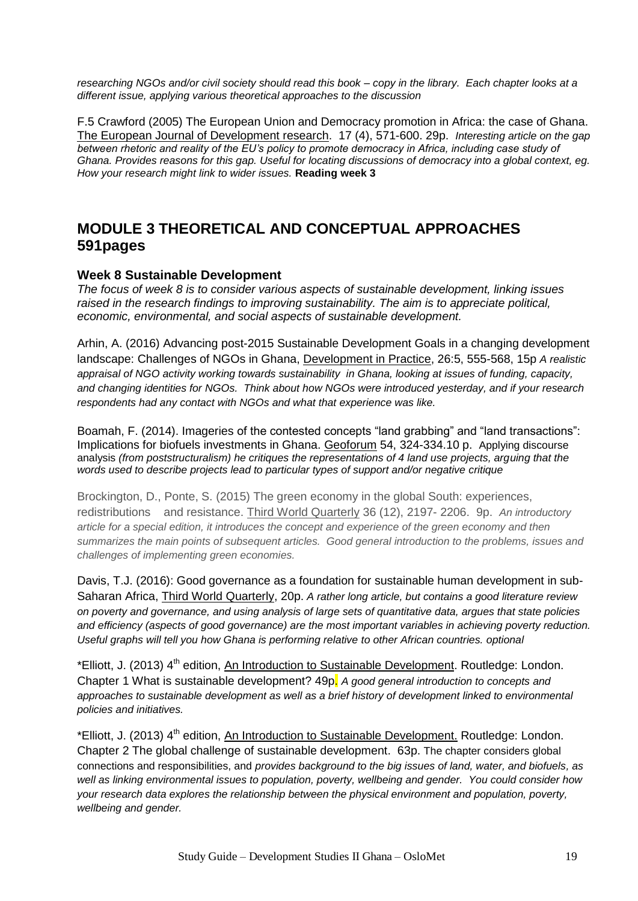*researching NGOs and/or civil society should read this book – copy in the library. Each chapter looks at a different issue, applying various theoretical approaches to the discussion*

F.5 Crawford (2005) The European Union and Democracy promotion in Africa: the case of Ghana. The European Journal of Development research. 17 (4), 571-600. 29p. *Interesting article on the gap between rhetoric and reality of the EU's policy to promote democracy in Africa, including case study of Ghana. Provides reasons for this gap. Useful for locating discussions of democracy into a global context, eg. How your research might link to wider issues.* **Reading week 3** 

### **MODULE 3 THEORETICAL AND CONCEPTUAL APPROACHES 591pages**

#### **Week 8 Sustainable Development**

*The focus of week 8 is to consider various aspects of sustainable development, linking issues raised in the research findings to improving sustainability. The aim is to appreciate political, economic, environmental, and social aspects of sustainable development.* 

Arhin, A. (2016) Advancing post-2015 Sustainable Development Goals in a changing development landscape: Challenges of NGOs in Ghana, Development in Practice, 26:5, 555-568, 15p *A realistic appraisal of NGO activity working towards sustainability in Ghana, looking at issues of funding, capacity, and changing identities for NGOs. Think about how NGOs were introduced yesterday, and if your research respondents had any contact with NGOs and what that experience was like.*

Boamah, F. (2014). Imageries of the contested concepts "land grabbing" and "land transactions": Implications for biofuels investments in Ghana. Geoforum 54, 324-334.10 p. Applying discourse analysis *(from poststructuralism) he critiques the representations of 4 land use projects, arguing that the words used to describe projects lead to particular types of support and/or negative critique*

Brockington, D., Ponte, S. (2015) The green economy in the global South: experiences, redistributions and resistance. Third World Quarterly 36 (12), 2197- 2206. 9p. *An introductory article for a special edition, it introduces the concept and experience of the green economy and then summarizes the main points of subsequent articles. Good general introduction to the problems, issues and challenges of implementing green economies.*

Davis, T.J. (2016): Good governance as a foundation for sustainable human development in sub-Saharan Africa, Third World Quarterly, 20p. *A rather long article, but contains a good literature review on poverty and governance, and using analysis of large sets of quantitative data, argues that state policies and efficiency (aspects of good governance) are the most important variables in achieving poverty reduction. Useful graphs will tell you how Ghana is performing relative to other African countries. optional*

\*Elliott, J. (2013) 4<sup>th</sup> edition, An Introduction to Sustainable Development. Routledge: London. Chapter 1 What is sustainable development? 49p. *A good general introduction to concepts and approaches to sustainable development as well as a brief history of development linked to environmental policies and initiatives.*

\*Elliott, J. (2013) 4<sup>th</sup> edition, An Introduction to Sustainable Development. Routledge: London. Chapter 2 The global challenge of sustainable development. 63p. The chapter considers global connections and responsibilities, and *provides background to the big issues of land, water, and biofuels, as well as linking environmental issues to population, poverty, wellbeing and gender. You could consider how your research data explores the relationship between the physical environment and population, poverty, wellbeing and gender.*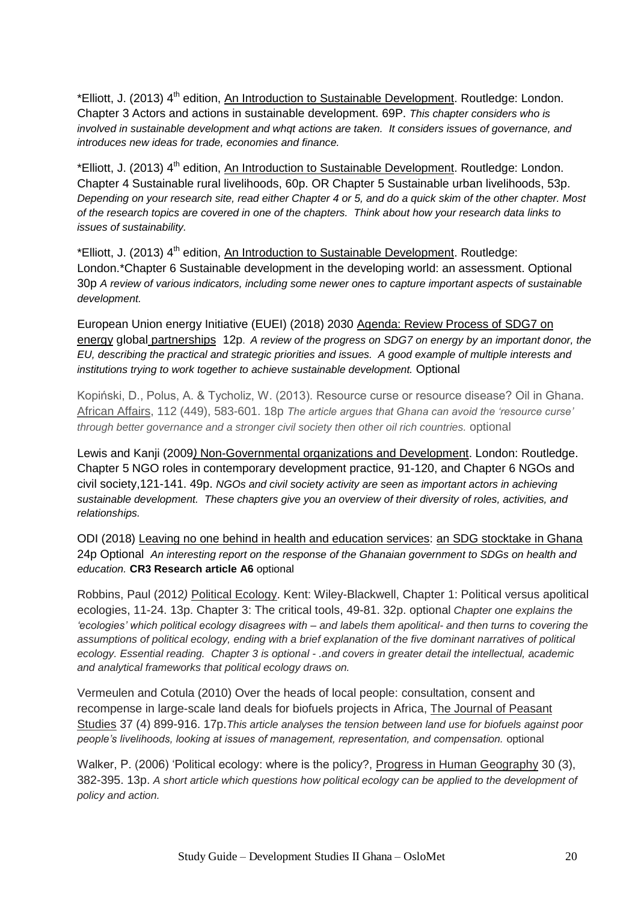\*Elliott, J. (2013) 4<sup>th</sup> edition, An Introduction to Sustainable Development. Routledge: London. Chapter 3 Actors and actions in sustainable development. 69P. *This chapter considers who is involved in sustainable development and whqt actions are taken. It considers issues of governance, and introduces new ideas for trade, economies and finance.*

\*Elliott, J. (2013) 4<sup>th</sup> edition, An Introduction to Sustainable Development. Routledge: London. Chapter 4 Sustainable rural livelihoods, 60p. OR Chapter 5 Sustainable urban livelihoods, 53p. *Depending on your research site, read either Chapter 4 or 5, and do a quick skim of the other chapter. Most of the research topics are covered in one of the chapters. Think about how your research data links to issues of sustainability.*

\*Elliott, J. (2013) 4<sup>th</sup> edition, An Introduction to Sustainable Development. Routledge: London.\*Chapter 6 Sustainable development in the developing world: an assessment. Optional 30p *A review of various indicators, including some newer ones to capture important aspects of sustainable development.*

European Union energy Initiative (EUEI) (2018) 2030 Agenda: Review Process of SDG7 on energy global partnerships 12p. *A review of the progress on SDG7 on energy by an important donor, the EU, describing the practical and strategic priorities and issues. A good example of multiple interests and institutions trying to work together to achieve sustainable development.* Optional

Kopiński, D., Polus, A. & Tycholiz, W. (2013). Resource curse or resource disease? Oil in Ghana. African Affairs, 112 (449), 583-601. 18p *The article argues that Ghana can avoid the 'resource curse' through better governance and a stronger civil society then other oil rich countries.* optional

Lewis and Kanji (2009*)* Non-Governmental organizations and Development. London: Routledge. Chapter 5 NGO roles in contemporary development practice, 91-120, and Chapter 6 NGOs and civil society,121-141. 49p. *NGOs and civil society activity are seen as important actors in achieving sustainable development. These chapters give you an overview of their diversity of roles, activities, and relationships.*

ODI (2018) Leaving no one behind in health and education services: an SDG stocktake in Ghana 24p Optional *An interesting report on the response of the Ghanaian government to SDGs on health and education.* **CR3 Research article A6** optional

Robbins, Paul (2012*)* Political Ecology. Kent: Wiley-Blackwell, Chapter 1: Political versus apolitical ecologies, 11-24. 13p. Chapter 3: The critical tools, 49-81. 32p. optional *Chapter one explains the 'ecologies' which political ecology disagrees with – and labels them apolitical- and then turns to covering the*  assumptions of political ecology, ending with a brief explanation of the five dominant narratives of political *ecology. Essential reading. Chapter 3 is optional - .and covers in greater detail the intellectual, academic and analytical frameworks that political ecology draws on.*

Vermeulen and Cotula (2010) Over the heads of local people: consultation, consent and recompense in large-scale land deals for biofuels projects in Africa, The Journal of Peasant Studies 37 (4) 899-916. 17p.*This article analyses the tension between land use for biofuels against poor people's livelihoods, looking at issues of management, representation, and compensation.* optional

Walker, P. (2006) 'Political ecology: where is the policy?, Progress in Human Geography 30 (3), 382-395. 13p. *A short article which questions how political ecology can be applied to the development of policy and action.*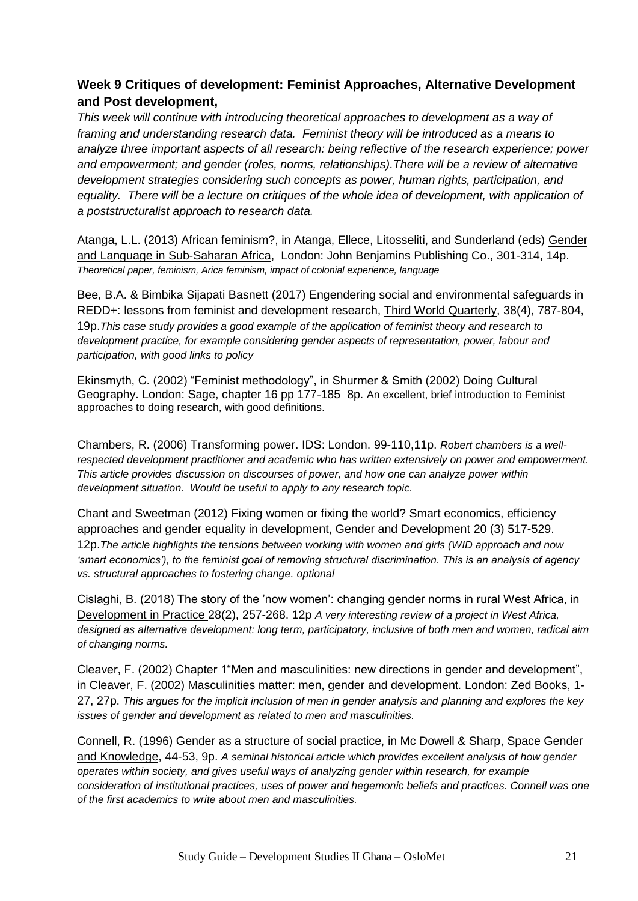#### **Week 9 Critiques of development: Feminist Approaches, Alternative Development and Post development,**

*This week will continue with introducing theoretical approaches to development as a way of framing and understanding research data. Feminist theory will be introduced as a means to analyze three important aspects of all research: being reflective of the research experience; power and empowerment; and gender (roles, norms, relationships).There will be a review of alternative development strategies considering such concepts as power, human rights, participation, and*  equality. There will be a lecture on critiques of the whole idea of development, with application of *a poststructuralist approach to research data.*

Atanga, L.L. (2013) African feminism?, in Atanga, Ellece, Litosseliti, and Sunderland (eds) Gender and Language in Sub-Saharan Africa, London: John Benjamins Publishing Co., 301-314, 14p. *Theoretical paper, feminism, Arica feminism, impact of colonial experience, language* 

Bee, B.A. & Bimbika Sijapati Basnett (2017) Engendering social and environmental safeguards in REDD+: lessons from feminist and development research, Third World Quarterly, 38(4), 787-804,

19p.*This case study provides a good example of the application of feminist theory and research to development practice, for example considering gender aspects of representation, power, labour and participation, with good links to policy*

Ekinsmyth, C. (2002) "Feminist methodology", in Shurmer & Smith (2002) Doing Cultural Geography. London: Sage, chapter 16 pp 177-185 8p. An excellent, brief introduction to Feminist approaches to doing research, with good definitions.

Chambers, R. (2006) Transforming power. IDS: London. 99-110,11p. *Robert chambers is a wellrespected development practitioner and academic who has written extensively on power and empowerment. This article provides discussion on discourses of power, and how one can analyze power within development situation. Would be useful to apply to any research topic.*

Chant and Sweetman (2012) Fixing women or fixing the world? Smart economics, efficiency approaches and gender equality in development, Gender and Development 20 (3) 517-529. 12p.*The article highlights the tensions between working with women and girls (WID approach and now 'smart economics'), to the feminist goal of removing structural discrimination. This is an analysis of agency vs. structural approaches to fostering change. optional*

Cislaghi, B. (2018) The story of the 'now women': changing gender norms in rural West Africa, in Development in Practice 28(2), 257-268. 12p *A very interesting review of a project in West Africa, designed as alternative development: long term, participatory, inclusive of both men and women, radical aim of changing norms.*

Cleaver, F. (2002) Chapter 1"Men and masculinities: new directions in gender and development", in Cleaver, F. (2002) Masculinities matter: men, gender and development*.* London: Zed Books, 1- 27, 27p. *This argues for the implicit inclusion of men in gender analysis and planning and explores the key issues of gender and development as related to men and masculinities.* 

Connell, R. (1996) Gender as a structure of social practice, in Mc Dowell & Sharp, Space Gender and Knowledge, 44-53, 9p. *A seminal historical article which provides excellent analysis of how gender operates within society, and gives useful ways of analyzing gender within research, for example consideration of institutional practices, uses of power and hegemonic beliefs and practices. Connell was one of the first academics to write about men and masculinities.*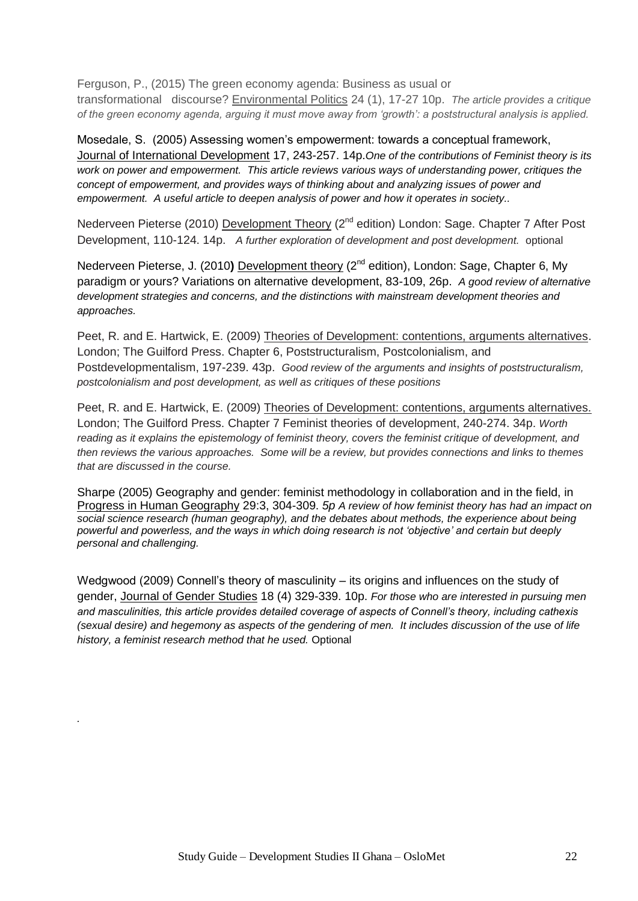Ferguson, P., (2015) The green economy agenda: Business as usual or

transformational discourse? Environmental Politics 24 (1), 17-27 10p. *The article provides a critique of the green economy agenda, arguing it must move away from 'growth': a poststructural analysis is applied.* 

Mosedale, S. (2005) Assessing women's empowerment: towards a conceptual framework, Journal of International Development 17, 243-257. 14p.*One of the contributions of Feminist theory is its work on power and empowerment. This article reviews various ways of understanding power, critiques the concept of empowerment, and provides ways of thinking about and analyzing issues of power and empowerment. A useful article to deepen analysis of power and how it operates in society..*

Nederveen Pieterse (2010) Development Theory (2<sup>nd</sup> edition) London: Sage. Chapter 7 After Post Development, 110-124. 14p. *A further exploration of development and post development.* optional

Nederveen Pieterse, J. (2010) Development theory (2<sup>nd</sup> edition), London: Sage, Chapter 6, My paradigm or yours? Variations on alternative development, 83-109, 26p. *A good review of alternative development strategies and concerns, and the distinctions with mainstream development theories and approaches.*

Peet, R. and E. Hartwick, E. (2009) Theories of Development: contentions, arguments alternatives. London; The Guilford Press. Chapter 6, Poststructuralism, Postcolonialism, and Postdevelopmentalism, 197-239. 43p. *Good review of the arguments and insights of poststructuralism, postcolonialism and post development, as well as critiques of these positions*

Peet, R. and E. Hartwick, E. (2009) Theories of Development: contentions, arguments alternatives. London; The Guilford Press. Chapter 7 Feminist theories of development, 240-274. 34p. *Worth reading as it explains the epistemology of feminist theory, covers the feminist critique of development, and then reviews the various approaches. Some will be a review, but provides connections and links to themes that are discussed in the course.*

Sharpe (2005) Geography and gender: feminist methodology in collaboration and in the field, in Progress in Human Geography 29:3, 304-309. *5p A review of how feminist theory has had an impact on social science research (human geography), and the debates about methods, the experience about being powerful and powerless, and the ways in which doing research is not 'objective' and certain but deeply personal and challenging.*

Wedgwood (2009) Connell's theory of masculinity – its origins and influences on the study of gender, Journal of Gender Studies 18 (4) 329-339. 10p. *For those who are interested in pursuing men and masculinities, this article provides detailed coverage of aspects of Connell's theory, including cathexis (sexual desire) and hegemony as aspects of the gendering of men. It includes discussion of the use of life history, a feminist research method that he used.* Optional

*.*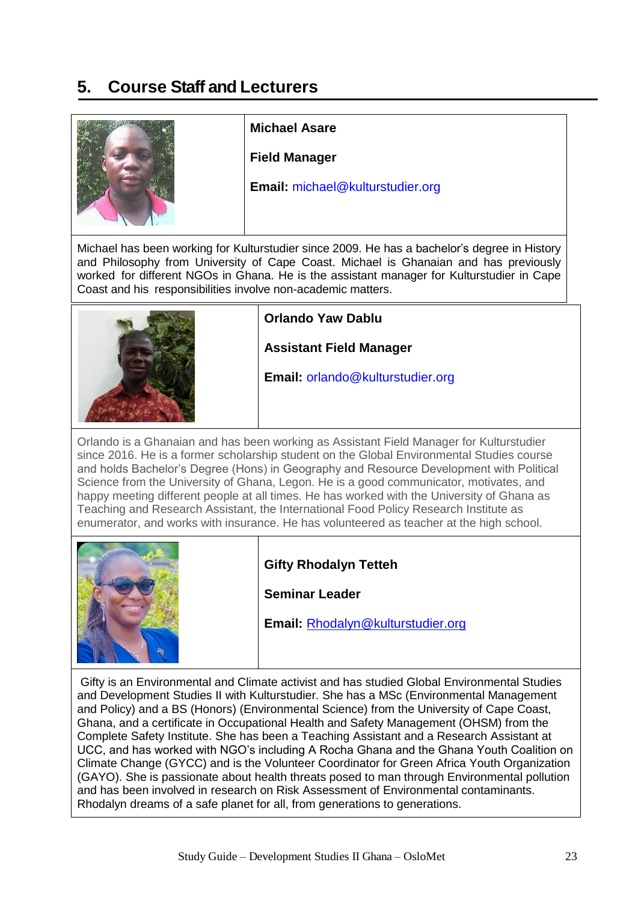# **5. Course Staff and Lecturers**



#### **Michael Asare**

**Field Manager**

**Email:** [michael@kulturstudier.org](mailto:michael@kulturstudier.org)

Michael has been working for Kulturstudier since 2009. He has a bachelor's degree in History and Philosophy from University of Cape Coast. Michael is Ghanaian and has previously worked for different NGOs in Ghana. He is the assistant manager for Kulturstudier in Cape Coast and his responsibilities involve non-academic matters.



#### **Orlando Yaw Dablu**

**Assistant Field Manager**

**Email:** [orlando@kulturstudier.org](mailto:orlando@kulturstudier.org)

Orlando is a Ghanaian and has been working as Assistant Field Manager for Kulturstudier since 2016. He is a former scholarship student on the Global Environmental Studies course and holds Bachelor's Degree (Hons) in Geography and Resource Development with Political Science from the University of Ghana, Legon. He is a good communicator, motivates, and happy meeting different people at all times. He has worked with the University of Ghana as Teaching and Research Assistant, the International Food Policy Research Institute as enumerator, and works with insurance. He has volunteered as teacher at the high school.



#### **Gifty Rhodalyn Tetteh**

**Seminar Leader**

**Email:** [Rhodalyn@kulturstudier.org](mailto:Rhodalyn@kulturstudier.org)

Gifty is an Environmental and Climate activist and has studied Global Environmental Studies and Development Studies II with Kulturstudier. She has a MSc (Environmental Management and Policy) and a BS (Honors) (Environmental Science) from the University of Cape Coast, Ghana, and a certificate in Occupational Health and Safety Management (OHSM) from the Complete Safety Institute. She has been a Teaching Assistant and a Research Assistant at UCC, and has worked with NGO's including A Rocha Ghana and the Ghana Youth Coalition on Climate Change (GYCC) and is the Volunteer Coordinator for Green Africa Youth Organization (GAYO). She is passionate about health threats posed to man through Environmental pollution and has been involved in research on Risk Assessment of Environmental contaminants. Rhodalyn dreams of a safe planet for all, from generations to generations.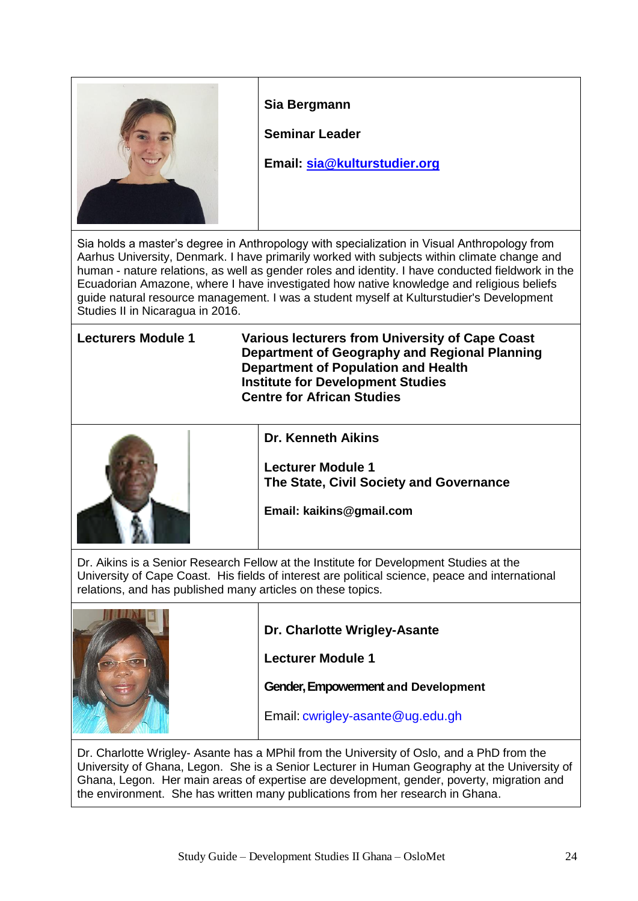

#### **Sia Bergmann**

**Seminar Leader**

**Email: [sia@kulturstudier.org](mailto:sia@kulturstudier.org)**

Sia holds a master's degree in Anthropology with specialization in Visual Anthropology from Aarhus University, Denmark. I have primarily worked with subjects within climate change and human - nature relations, as well as gender roles and identity. I have conducted fieldwork in the Ecuadorian Amazone, where I have investigated how native knowledge and religious beliefs guide natural resource management. I was a student myself at Kulturstudier's Development Studies II in Nicaragua in 2016.

**Lecturers Module 1 Various lecturers from University of Cape Coast Department of Geography and Regional Planning Department of Population and Health Institute for Development Studies Centre for African Studies** 



**Dr. Kenneth Aikins**

**Lecturer Module 1 The State, Civil Society and Governance**

**Email: kaikins@gmail.com**

Dr. Aikins is a Senior Research Fellow at the Institute for Development Studies at the University of Cape Coast. His fields of interest are political science, peace and international relations, and has published many articles on these topics.



**Dr. Charlotte Wrigley-Asante**

**Lecturer Module 1**

**Gender, Empowerment and Development**

Email: [cwrigley-asante@ug.edu.gh](mailto:cwrigley-asante@ug.edu.gh)

Dr. Charlotte Wrigley- Asante has a MPhil from the University of Oslo, and a PhD from the University of Ghana, Legon. She is a Senior Lecturer in Human Geography at the University of Ghana, Legon. Her main areas of expertise are development, gender, poverty, migration and the environment. She has written many publications from her research in Ghana.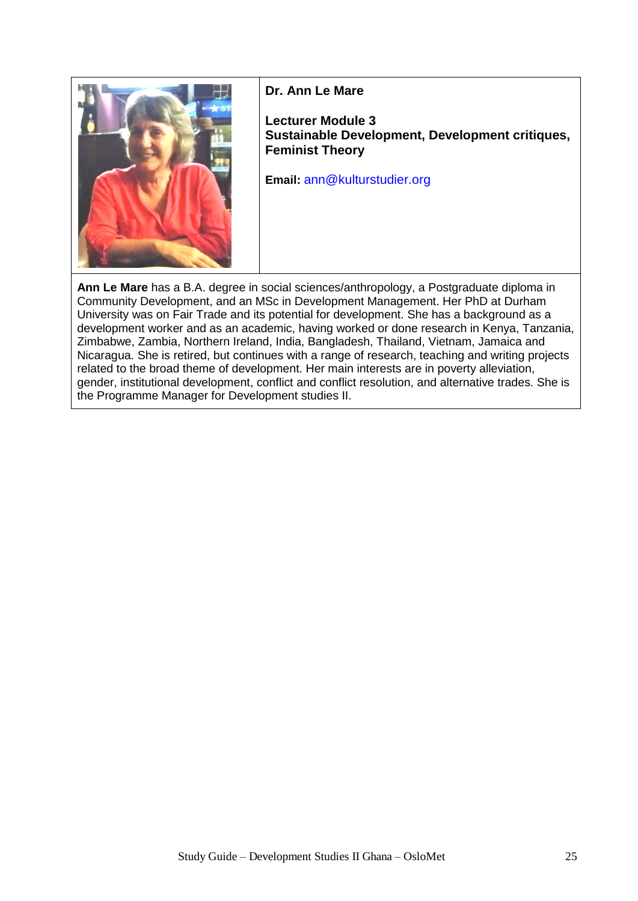

#### **Dr. Ann Le Mare**

**Lecturer Module 3 Sustainable Development, Development critiques, Feminist Theory**

**Email:** [ann@kulturstudier.org](mailto:ann@kulturstudier.org)

**Ann Le Mare** has a B.A. degree in social sciences/anthropology, a Postgraduate diploma in Community Development, and an MSc in Development Management. Her PhD at Durham University was on Fair Trade and its potential for development. She has a background as a development worker and as an academic, having worked or done research in Kenya, Tanzania, Zimbabwe, Zambia, Northern Ireland, India, Bangladesh, Thailand, Vietnam, Jamaica and Nicaragua. She is retired, but continues with a range of research, teaching and writing projects related to the broad theme of development. Her main interests are in poverty alleviation, gender, institutional development, conflict and conflict resolution, and alternative trades. She is the Programme Manager for Development studies II.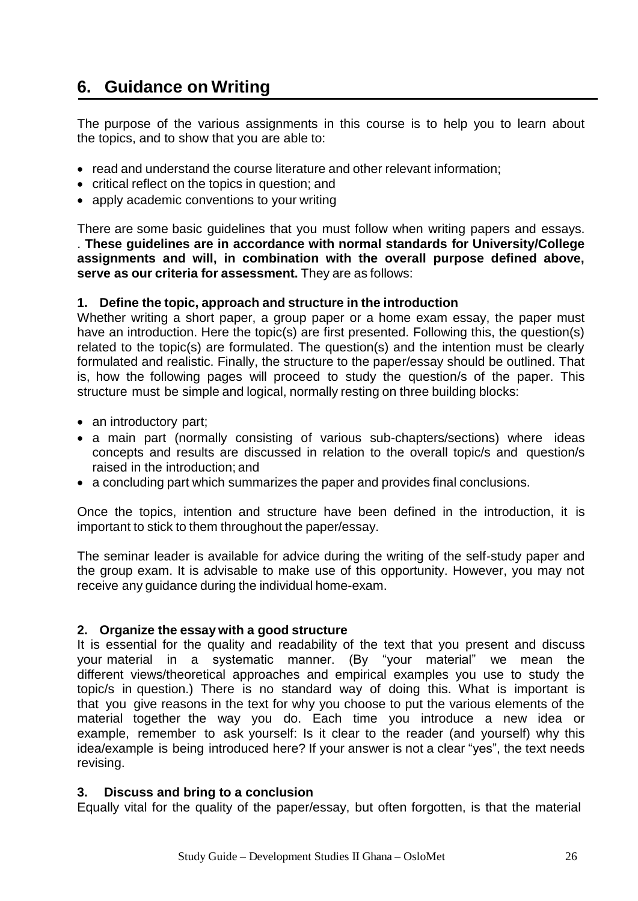# **6. Guidance on Writing**

The purpose of the various assignments in this course is to help you to learn about the topics, and to show that you are able to:

- read and understand the course literature and other relevant information;
- critical reflect on the topics in question; and
- apply academic conventions to your writing

There are some basic guidelines that you must follow when writing papers and essays. . **These guidelines are in accordance with normal standards for University/College assignments and will, in combination with the overall purpose defined above, serve as our criteria for assessment.** They are as follows:

#### **1. Define the topic, approach and structure in the introduction**

Whether writing a short paper, a group paper or a home exam essay, the paper must have an introduction. Here the topic(s) are first presented. Following this, the question(s) related to the topic(s) are formulated. The question(s) and the intention must be clearly formulated and realistic. Finally, the structure to the paper/essay should be outlined. That is, how the following pages will proceed to study the question/s of the paper. This structure must be simple and logical, normally resting on three building blocks:

- an introductory part;
- a main part (normally consisting of various sub-chapters/sections) where ideas concepts and results are discussed in relation to the overall topic/s and question/s raised in the introduction; and
- a concluding part which summarizes the paper and provides final conclusions.

Once the topics, intention and structure have been defined in the introduction, it is important to stick to them throughout the paper/essay.

The seminar leader is available for advice during the writing of the self-study paper and the group exam. It is advisable to make use of this opportunity. However, you may not receive any guidance during the individual home-exam.

#### **2. Organize the essay with a good structure**

It is essential for the quality and readability of the text that you present and discuss your material in a systematic manner. (By "your material" we mean the different views/theoretical approaches and empirical examples you use to study the topic/s in question.) There is no standard way of doing this. What is important is that you give reasons in the text for why you choose to put the various elements of the material together the way you do. Each time you introduce a new idea or example, remember to ask yourself: Is it clear to the reader (and yourself) why this idea/example is being introduced here? If your answer is not a clear "yes", the text needs revising.

#### **3. Discuss and bring to a conclusion**

Equally vital for the quality of the paper/essay, but often forgotten, is that the material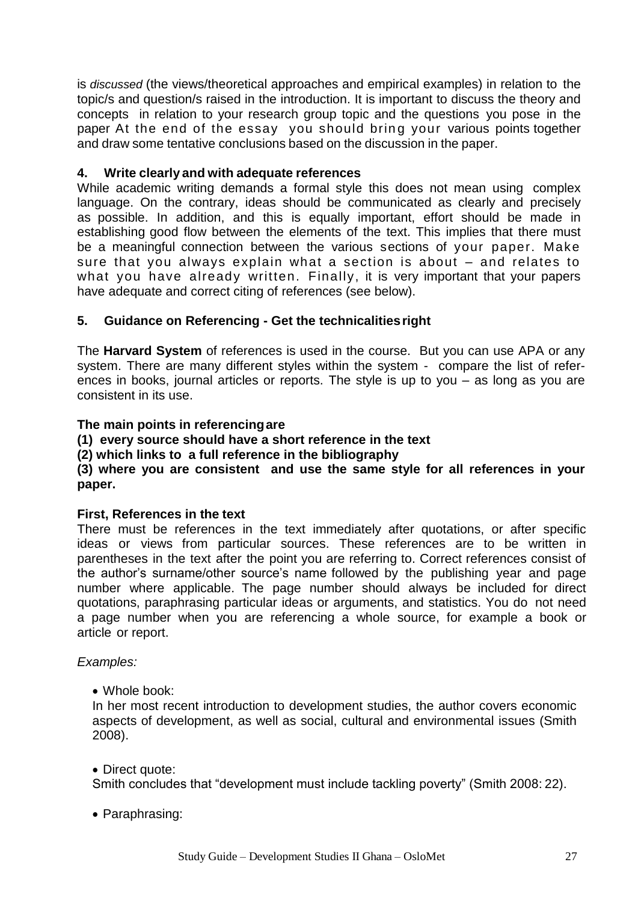is *discussed* (the views/theoretical approaches and empirical examples) in relation to the topic/s and question/s raised in the introduction. It is important to discuss the theory and concepts in relation to your research group topic and the questions you pose in the paper At the end of the essay you should bring your various points together and draw some tentative conclusions based on the discussion in the paper.

#### **4. Write clearly and with adequate references**

While academic writing demands a formal style this does not mean using complex language. On the contrary, ideas should be communicated as clearly and precisely as possible. In addition, and this is equally important, effort should be made in establishing good flow between the elements of the text. This implies that there must be a meaningful connection between the various sections of your paper. Make sure that you always explain what a section is about – and relates to what you have already written. Finally, it is very important that your papers have adequate and correct citing of references (see below).

#### **5. Guidance on Referencing - Get the technicalitiesright**

The **Harvard System** of references is used in the course. But you can use APA or any system. There are many different styles within the system - compare the list of references in books, journal articles or reports. The style is up to you – as long as you are consistent in its use.

#### **The main points in referencingare**

**(1) every source should have a short reference in the text**

**(2) which links to a full reference in the bibliography**

#### **(3) where you are consistent and use the same style for all references in your paper.**

#### **First, References in the text**

There must be references in the text immediately after quotations, or after specific ideas or views from particular sources. These references are to be written in parentheses in the text after the point you are referring to. Correct references consist of the author's surname/other source's name followed by the publishing year and page number where applicable. The page number should always be included for direct quotations, paraphrasing particular ideas or arguments, and statistics. You do not need a page number when you are referencing a whole source, for example a book or article or report.

#### *Examples:*

Whole book:

In her most recent introduction to development studies, the author covers economic aspects of development, as well as social, cultural and environmental issues (Smith 2008).

#### • Direct quote:

Smith concludes that "development must include tackling poverty" (Smith 2008: 22).

Paraphrasing: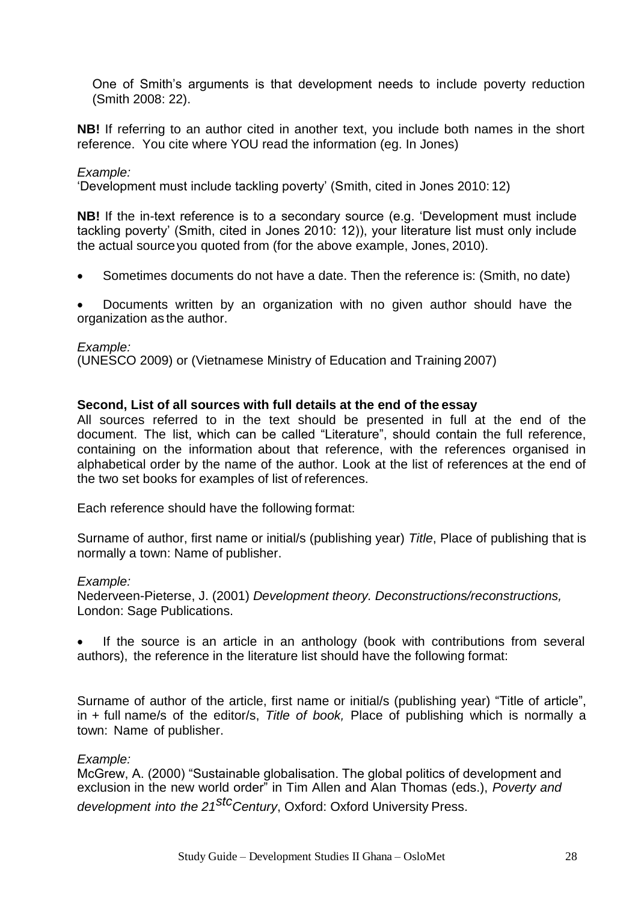One of Smith's arguments is that development needs to include poverty reduction (Smith 2008: 22).

**NB!** If referring to an author cited in another text, you include both names in the short reference. You cite where YOU read the information (eg. In Jones)

#### *Example:*

'Development must include tackling poverty' (Smith, cited in Jones 2010: 12)

**NB!** If the in-text reference is to a secondary source (e.g. 'Development must include tackling poverty' (Smith, cited in Jones 2010: 12)), your literature list must only include the actual sourceyou quoted from (for the above example, Jones, 2010).

Sometimes documents do not have a date. Then the reference is: (Smith, no date)

 Documents written by an organization with no given author should have the organization as the author.

*Example:*

(UNESCO 2009) or (Vietnamese Ministry of Education and Training 2007)

#### **Second, List of all sources with full details at the end of the essay**

All sources referred to in the text should be presented in full at the end of the document. The list, which can be called "Literature", should contain the full reference, containing on the information about that reference, with the references organised in alphabetical order by the name of the author. Look at the list of references at the end of the two set books for examples of list of references.

Each reference should have the following format:

Surname of author, first name or initial/s (publishing year) *Title*, Place of publishing that is normally a town: Name of publisher.

#### *Example:*

Nederveen-Pieterse, J. (2001) *Development theory. Deconstructions/reconstructions,* London: Sage Publications.

 If the source is an article in an anthology (book with contributions from several authors), the reference in the literature list should have the following format:

Surname of author of the article, first name or initial/s (publishing year) "Title of article", in + full name/s of the editor/s, *Title of book,* Place of publishing which is normally a town: Name of publisher.

#### *Example:*

McGrew, A. (2000) "Sustainable globalisation. The global politics of development and exclusion in the new world order" in Tim Allen and Alan Thomas (eds.), *Poverty and development into the 21stcCentury*, Oxford: Oxford University Press.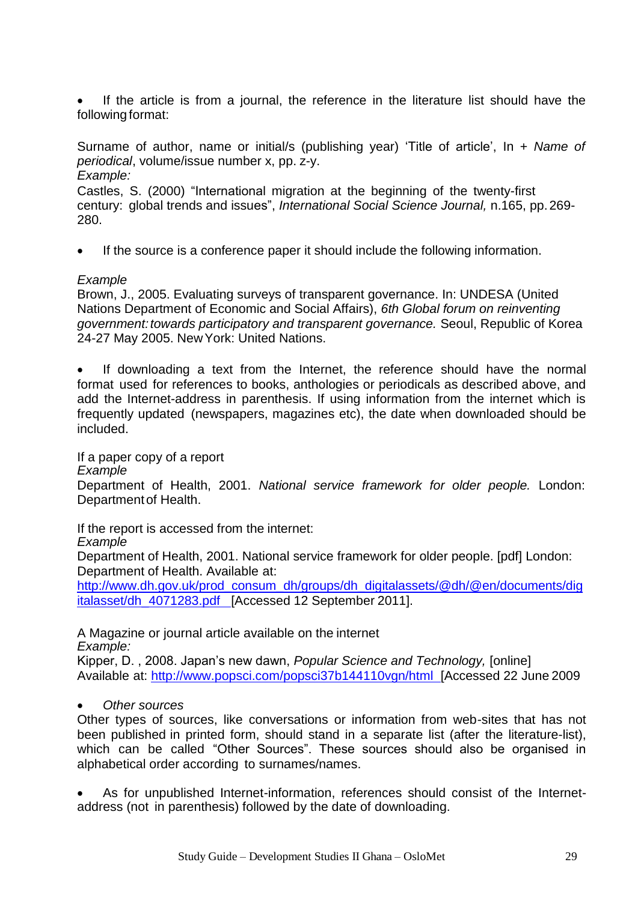If the article is from a journal, the reference in the literature list should have the following format:

Surname of author, name or initial/s (publishing year) 'Title of article', In + *Name of periodical*, volume/issue number x, pp. z-y. *Example:*

Castles, S. (2000) "International migration at the beginning of the twenty-first century: global trends and issues", *International Social Science Journal,* n.165, pp.269- 280.

If the source is a conference paper it should include the following information.

#### *Example*

Brown, J., 2005. Evaluating surveys of transparent governance. In: UNDESA (United Nations Department of Economic and Social Affairs), *6th Global forum on reinventing government: towards participatory and transparent governance.* Seoul, Republic of Korea 24-27 May 2005. NewYork: United Nations.

• If downloading a text from the Internet, the reference should have the normal format used for references to books, anthologies or periodicals as described above, and add the Internet-address in parenthesis. If using information from the internet which is frequently updated (newspapers, magazines etc), the date when downloaded should be included.

#### If a paper copy of a report *Example* Department of Health, 2001. *National service framework for older people.* London: Departmentof Health.

If the report is accessed from the internet:

*Example*

Department of Health, 2001. National service framework for older people. [pdf] London: Department of Health. Available at:

[http://www.dh.gov.uk/prod\\_consum\\_dh/groups/dh\\_digitalassets/@dh/@en/documents/dig](http://www.dh.gov.uk/prod_consum_dh/groups/dh_digitalassets/%40dh/%40en/documents/digitalasset/dh) [italasset/dh\\_](http://www.dh.gov.uk/prod_consum_dh/groups/dh_digitalassets/%40dh/%40en/documents/digitalasset/dh)4071283.pdf [Accessed 12 September 2011].

A Magazine or journal article available on the internet *Example:*

Kipper, D. , 2008. Japan's new dawn, *Popular Science and Technology,* [online] Available at: [http://www.popsci.com/popsci37b144110vgn/html \[](http://www.popsci.com/popsci37b144110vgn/html)Accessed 22 June 2009

#### *Other sources*

Other types of sources, like conversations or information from web-sites that has not been published in printed form, should stand in a separate list (after the literature-list), which can be called "Other Sources". These sources should also be organised in alphabetical order according to surnames/names.

 As for unpublished Internet-information, references should consist of the Internetaddress (not in parenthesis) followed by the date of downloading.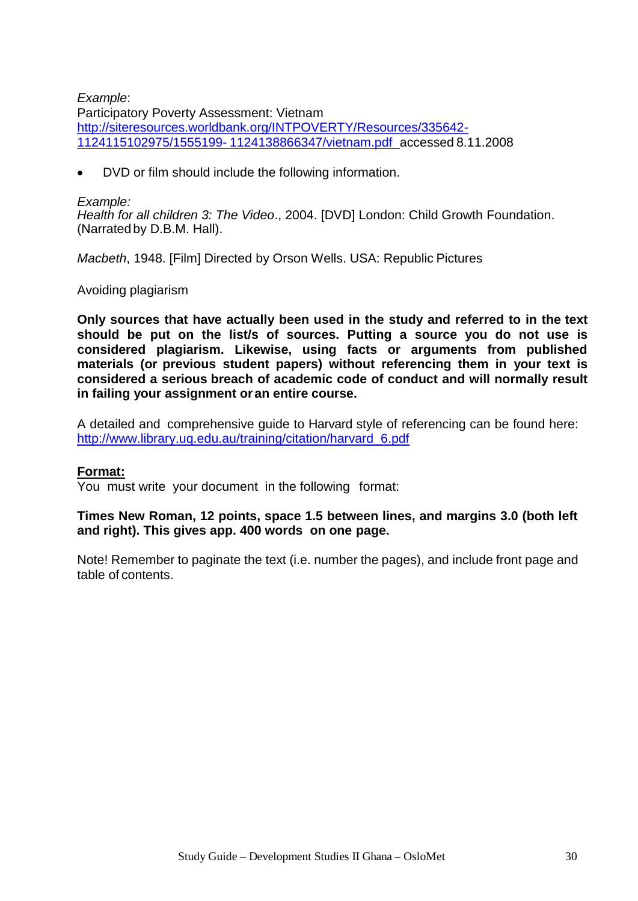#### *Example*:

Participatory Poverty Assessment: Vietnam [http://siteresources.worldbank.org/INTPOVERTY/Resources/335642-](http://siteresources.worldbank.org/INTPOVERTY/Resources/335642-1124115102975/1555199-) [1124115102975/1555199-](http://siteresources.worldbank.org/INTPOVERTY/Resources/335642-1124115102975/1555199-) 1124138866347/vietnam.pdf accessed 8.11.2008

DVD or film should include the following information.

#### *Example:*

*Health for all children 3: The Video*., 2004. [DVD] London: Child Growth Foundation. (Narratedby D.B.M. Hall).

*Macbeth*, 1948. [Film] Directed by Orson Wells. USA: Republic Pictures

#### Avoiding plagiarism

**Only sources that have actually been used in the study and referred to in the text should be put on the list/s of sources. Putting a source you do not use is considered plagiarism. Likewise, using facts or arguments from published materials (or previous student papers) without referencing them in your text is considered a serious breach of academic code of conduct and will normally result in failing your assignment or an entire course.**

A detailed and comprehensive guide to Harvard style of referencing can be found here: [http://www.library.uq.edu.au/training/citation/harvard\\_6.pdf](http://www.library.uq.edu.au/training/citation/harvard_6.pdf)

#### **Format:**

You must write your document in the following format:

#### **Times New Roman, 12 points, space 1.5 between lines, and margins 3.0 (both left and right). This gives app. 400 words on one page.**

Note! Remember to paginate the text (i.e. number the pages), and include front page and table of contents.